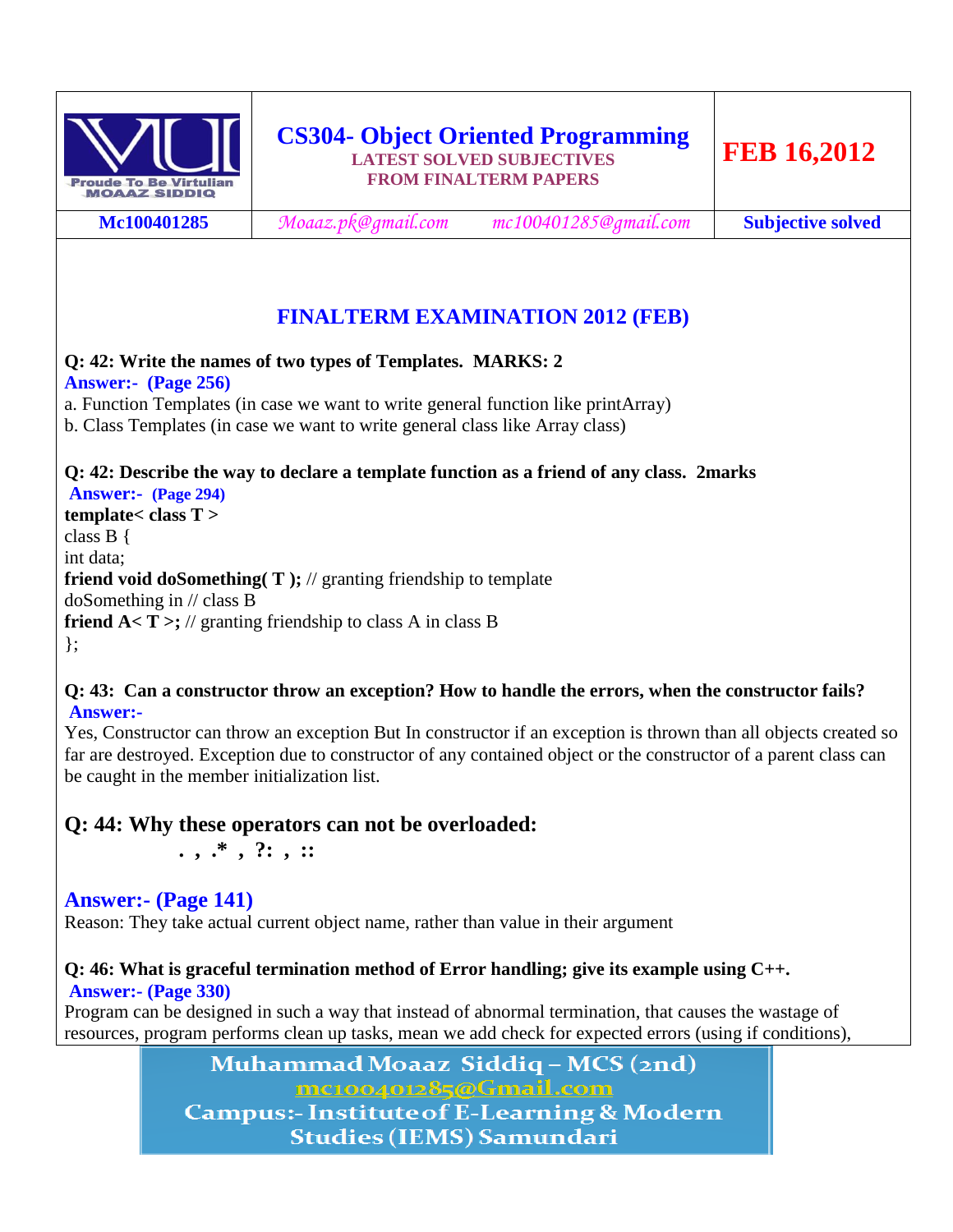

**Mc100401285** *[Moaaz.pk@gmail.com](mailto:Moaaz.pk@gmail.com) mc100401285@gmail.com* **Subjective solved**

# **FINALTERM EXAMINATION 2012 (FEB)**

**Q: 42: Write the names of two types of Templates. MARKS: 2 Answer:- (Page 256)** a. Function Templates (in case we want to write general function like printArray) b. Class Templates (in case we want to write general class like Array class)

#### **Q: 42: Describe the way to declare a template function as a friend of any class. 2marks Answer:- (Page 294)**

**template< class T >** class B { int data; **friend void doSomething( T );** // granting friendship to template doSomething in // class B **friend A< T >;** // granting friendship to class A in class B };

#### **Q: 43: Can a constructor throw an exception? How to handle the errors, when the constructor fails? Answer:-**

Yes, Constructor can throw an exception But In constructor if an exception is thrown than all objects created so far are destroyed. Exception due to constructor of any contained object or the constructor of a parent class can be caught in the member initialization list.

# **Q: 44: Why these operators can not be overloaded:**

 **. , .\* , ?: , ::**

# **Answer:- (Page 141)**

Reason: They take actual current object name, rather than value in their argument

### **Q: 46: What is graceful termination method of Error handling; give its example using C++. Answer:- (Page 330)**

Program can be designed in such a way that instead of abnormal termination, that causes the wastage of resources, program performs clean up tasks, mean we add check for expected errors (using if conditions),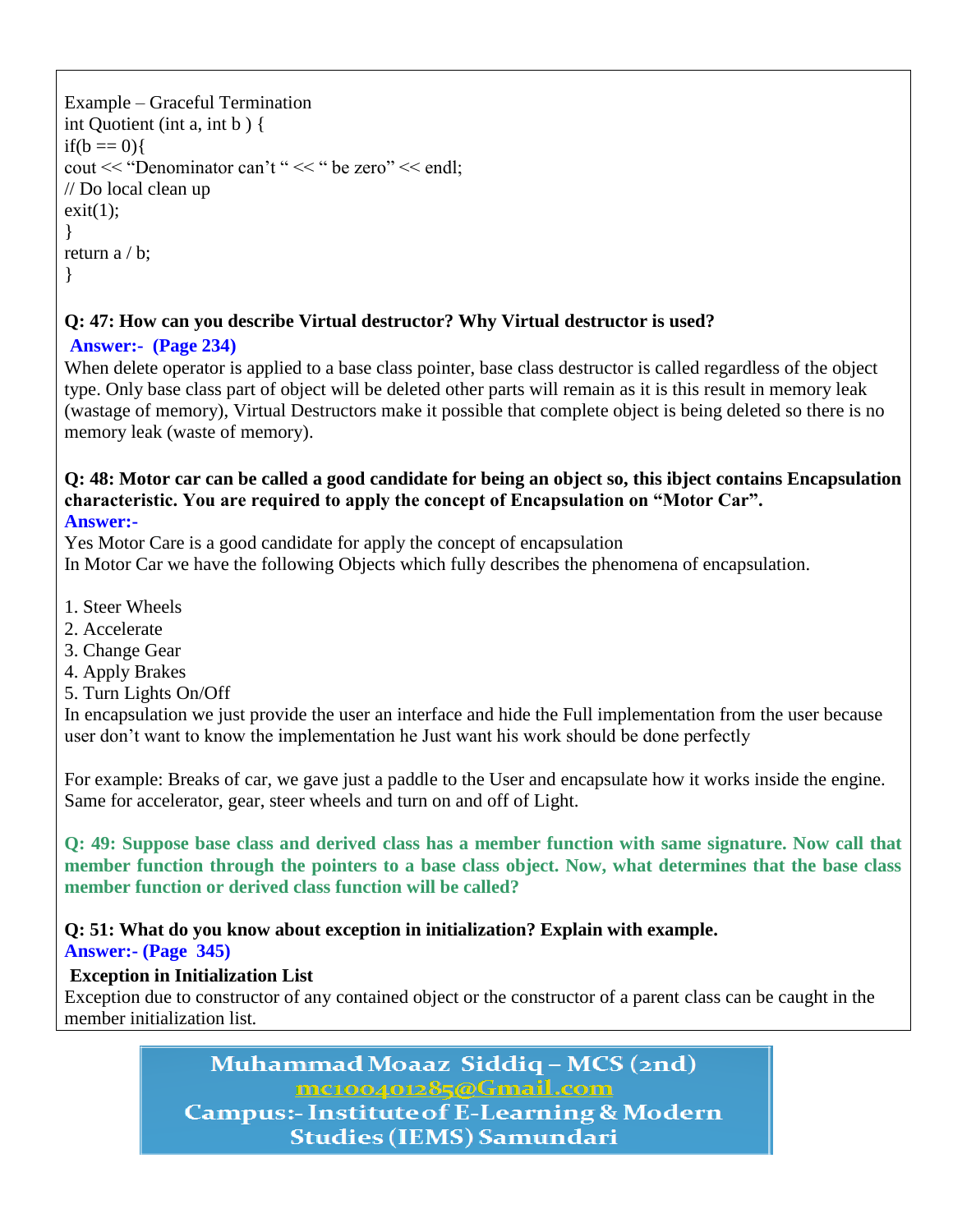```
Example – Graceful Termination
int Quotient (int a, int b ) {
if(b == 0)cout << "Denominator can't " << " be zero" << endl;
// Do local clean up
exit(1);
}
return a / b;
}
```
# **Q: 47: How can you describe Virtual destructor? Why Virtual destructor is used?**

# **Answer:- (Page 234)**

When delete operator is applied to a base class pointer, base class destructor is called regardless of the object type. Only base class part of object will be deleted other parts will remain as it is this result in memory leak (wastage of memory), Virtual Destructors make it possible that complete object is being deleted so there is no memory leak (waste of memory).

# **Q: 48: Motor car can be called a good candidate for being an object so, this ibject contains Encapsulation characteristic. You are required to apply the concept of Encapsulation on "Motor Car".**

# **Answer:-**

Yes Motor Care is a good candidate for apply the concept of encapsulation

In Motor Car we have the following Objects which fully describes the phenomena of encapsulation.

- 1. Steer Wheels
- 2. Accelerate
- 3. Change Gear
- 4. Apply Brakes
- 5. Turn Lights On/Off

In encapsulation we just provide the user an interface and hide the Full implementation from the user because user don't want to know the implementation he Just want his work should be done perfectly

For example: Breaks of car, we gave just a paddle to the User and encapsulate how it works inside the engine. Same for accelerator, gear, steer wheels and turn on and off of Light.

**Q: 49: Suppose base class and derived class has a member function with same signature. Now call that member function through the pointers to a base class object. Now, what determines that the base class member function or derived class function will be called?**

# **Q: 51: What do you know about exception in initialization? Explain with example.**

# **Answer:- (Page 345)**

# **Exception in Initialization List**

Exception due to constructor of any contained object or the constructor of a parent class can be caught in the member initialization list.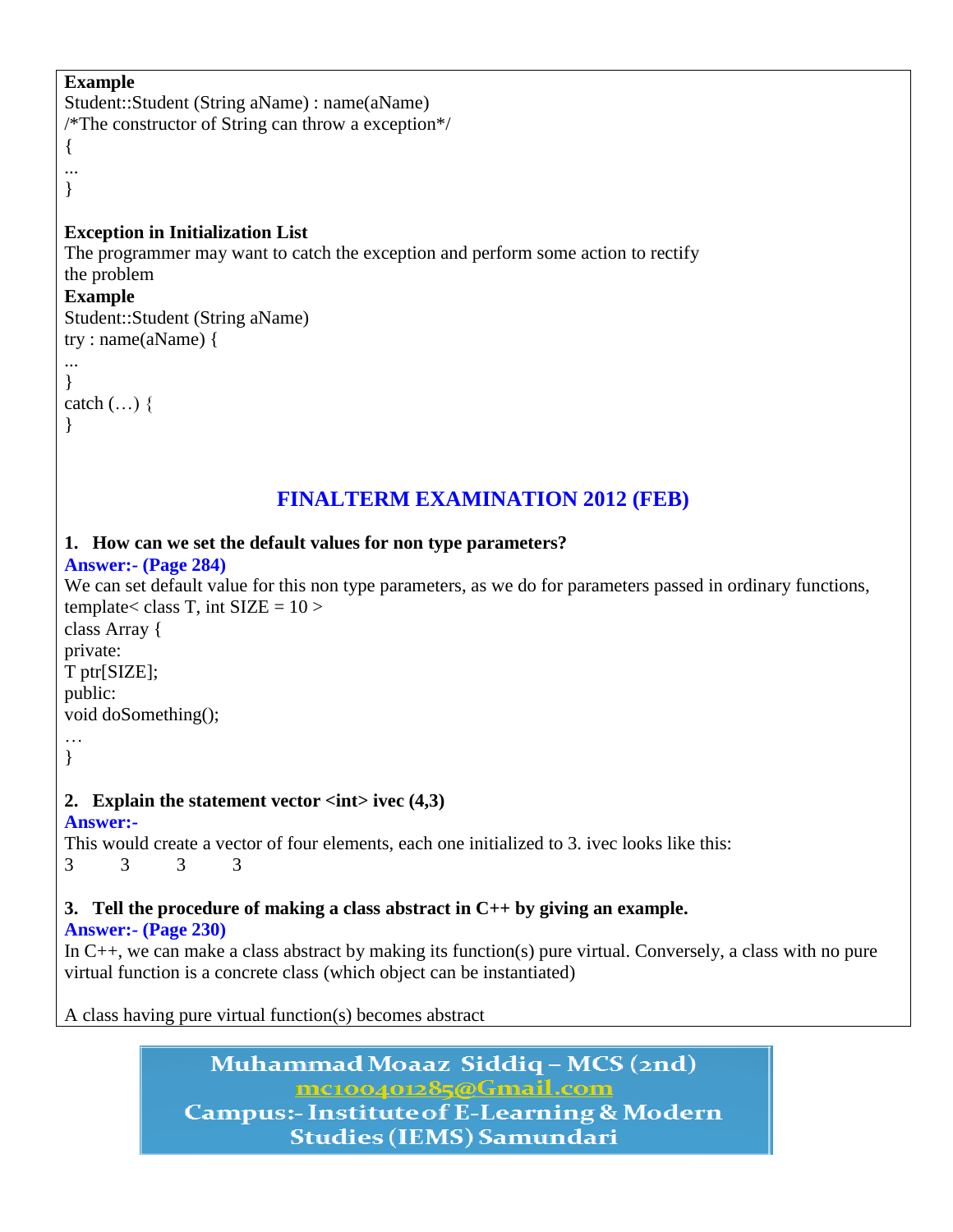# **Example**

```
Student::Student (String aName) : name(aName)
/*The constructor of String can throw a exception*/
```
{ ... }

# **Exception in Initialization List**

The programmer may want to catch the exception and perform some action to rectify the problem

#### **Example**

Student::Student (String aName) try : name(aName) {

```
...
}
```
catch  $(...)$  { }

# **FINALTERM EXAMINATION 2012 (FEB)**

# **1. How can we set the default values for non type parameters?**

### **Answer:- (Page 284)**

```
We can set default value for this non type parameters, as we do for parameters passed in ordinary functions,
template< class T, int SIZE = 10 >
class Array {
private:
T ptr[SIZE];
public:
void doSomething();
…
}
2. Explain the statement vector <int> ivec (4,3)
Answer:-
This would create a vector of four elements, each one initialized to 3. ivec looks like this:
3 3 3 3
3. Tell the procedure of making a class abstract in C++ by giving an example.
Answer:- (Page 230)
In C++, we can make a class abstract by making its function(s) pure virtual. Conversely, a class with no pure 
virtual function is a concrete class (which object can be instantiated)
```
A class having pure virtual function(s) becomes abstract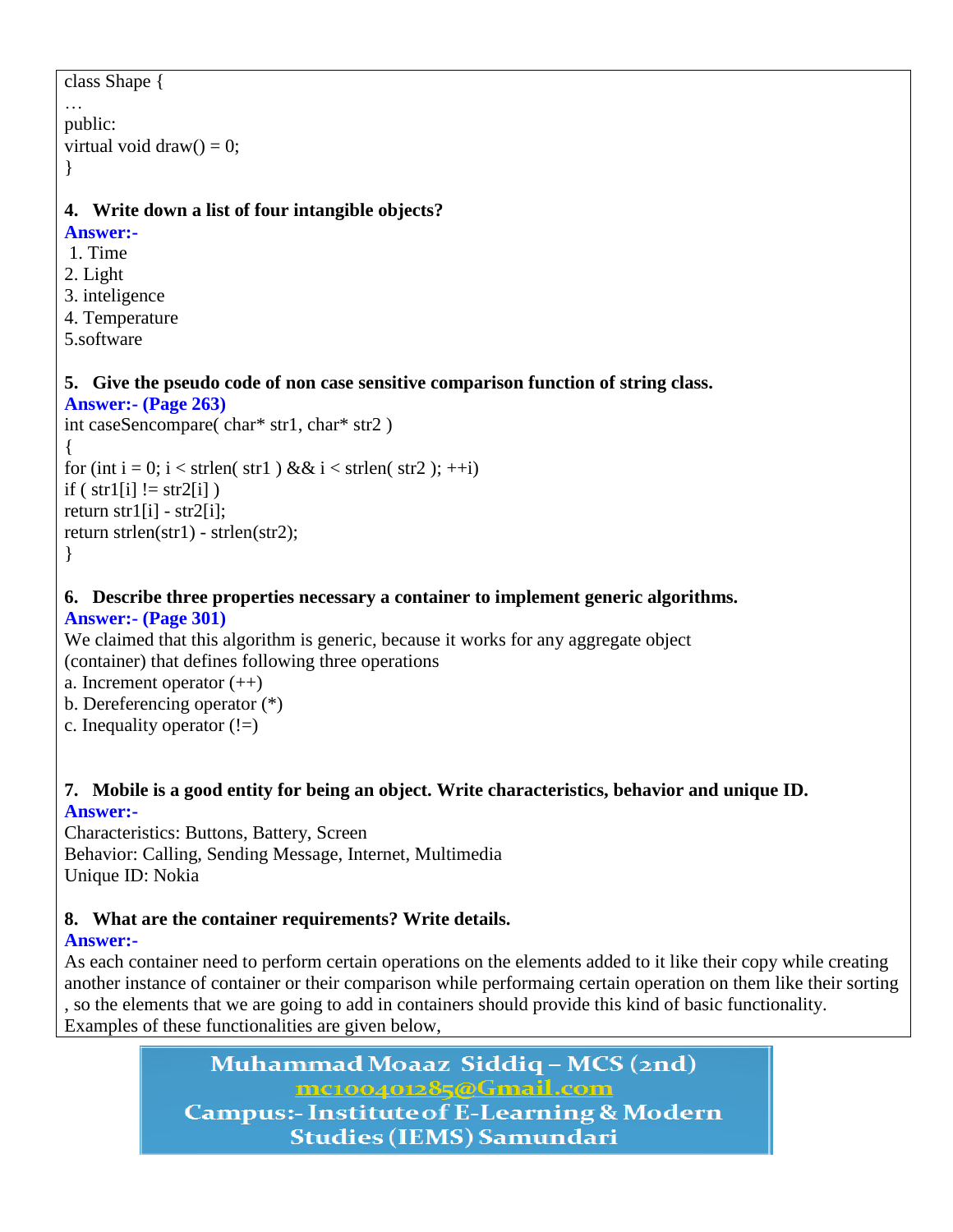```
class Shape {
…
public:
virtual void draw() = 0;
}
4. Write down a list of four intangible objects?
Answer:-
1. Time
2. Light
3. inteligence
4. Temperature 
5.software
5. Give the pseudo code of non case sensitive comparison function of string class.
Answer:- (Page 263)
int caseSencompare( char* str1, char* str2 )
{
for (int i = 0; i < strlen( str1 ) && i < strlen( str2 ); ++i)
if ( str1[i] != str2[i] )
return str1[i] - str2[i];
```
b. Dereferencing operator (\*) c. Inequality operator  $(!=)$ 

a. Increment operator  $(++)$ 

**Answer:- (Page 301)**

return strlen(str1) - strlen(str2);

#### **7. Mobile is a good entity for being an object. Write characteristics, behavior and unique ID. Answer:-**

**6. Describe three properties necessary a container to implement generic algorithms.**

We claimed that this algorithm is generic, because it works for any aggregate object

Characteristics: Buttons, Battery, Screen Behavior: Calling, Sending Message, Internet, Multimedia Unique ID: Nokia

(container) that defines following three operations

# **8. What are the container requirements? Write details.**

# **Answer:-**

}

As each container need to perform certain operations on the elements added to it like their copy while creating another instance of container or their comparison while performaing certain operation on them like their sorting , so the elements that we are going to add in containers should provide this kind of basic functionality. Examples of these functionalities are given below,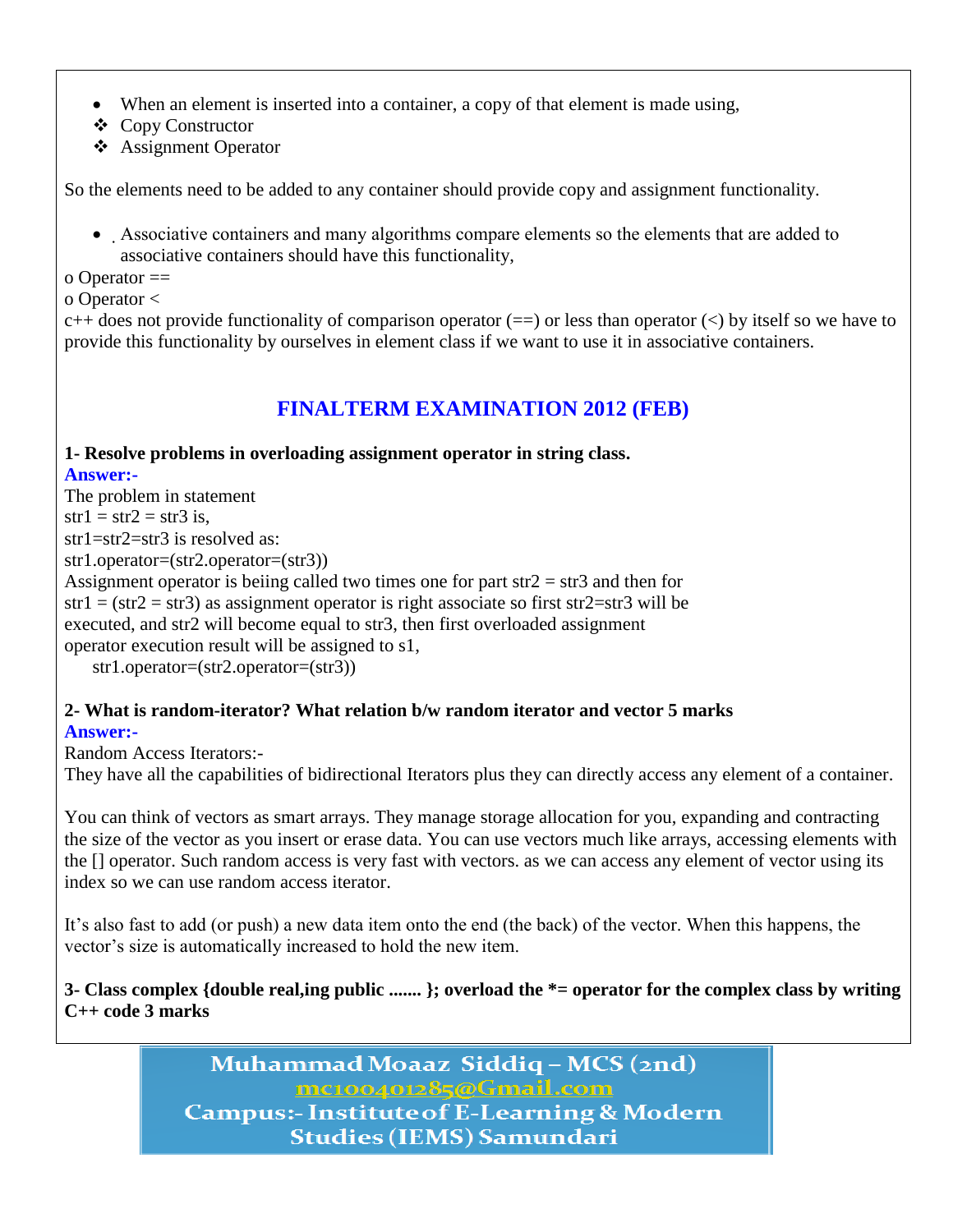- When an element is inserted into a container, a copy of that element is made using,
- Copy Constructor
- Assignment Operator

So the elements need to be added to any container should provide copy and assignment functionality.

 Associative containers and many algorithms compare elements so the elements that are added to associative containers should have this functionality,

o Operator ==

o Operator <

 $c++$  does not provide functionality of comparison operator (==) or less than operator (<) by itself so we have to provide this functionality by ourselves in element class if we want to use it in associative containers.

# **FINALTERM EXAMINATION 2012 (FEB)**

# **1- Resolve problems in overloading assignment operator in string class.**

**Answer:-**

The problem in statement  $str1 = str2 = str3$  is. str1=str2=str3 is resolved as: str1.operator=(str2.operator=(str3)) Assignment operator is beiing called two times one for part  $str2 = str3$  and then for  $str1 = (str2 = str3)$  as assignment operator is right associate so first str2=str3 will be executed, and str2 will become equal to str3, then first overloaded assignment operator execution result will be assigned to s1, str1.operator=(str2.operator=(str3))

#### **2- What is random-iterator? What relation b/w random iterator and vector 5 marks Answer:-**

Random Access Iterators:-

They have all the capabilities of bidirectional Iterators plus they can directly access any element of a container.

You can think of vectors as smart arrays. They manage storage allocation for you, expanding and contracting the size of the vector as you insert or erase data. You can use vectors much like arrays, accessing elements with the [] operator. Such random access is very fast with vectors. as we can access any element of vector using its index so we can use random access iterator.

It's also fast to add (or push) a new data item onto the end (the back) of the vector. When this happens, the vector's size is automatically increased to hold the new item.

**3- Class complex {double real,ing public ....... }; overload the \*= operator for the complex class by writing C++ code 3 marks**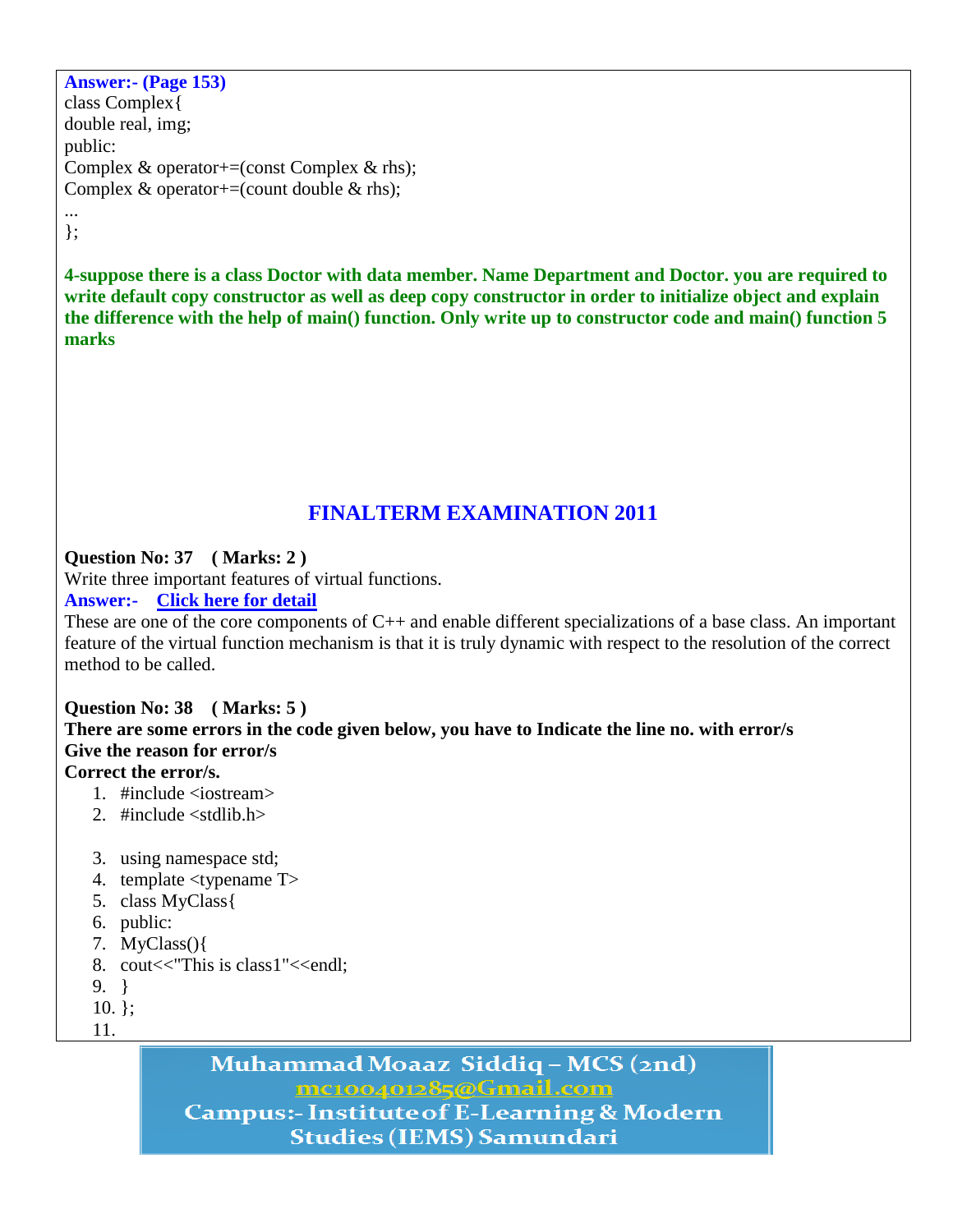**Answer:- (Page 153)** class Complex{ double real, img; public: Complex & operator+=(const Complex & rhs); Complex  $& operator+=\text{(count double }&rhs)$ ; ...

};

**4-suppose there is a class Doctor with data member. Name Department and Doctor. you are required to write default copy constructor as well as deep copy constructor in order to initialize object and explain the difference with the help of main() function. Only write up to constructor code and main() function 5 marks**

# **FINALTERM EXAMINATION 2011**

# **Question No: 37 ( Marks: 2 )**

Write three important features of virtual functions.

# **Answer:- [Click here for detail](http://blog.dimajix.de/archives/68-Using-Templates-instead-of-virtual-functions.html)**

These are one of the core components of C++ and enable different specializations of a base class. An important feature of the virtual function mechanism is that it is truly dynamic with respect to the resolution of the correct method to be called.

# **Question No: 38 ( Marks: 5 )**

**There are some errors in the code given below, you have to Indicate the line no. with error/s Give the reason for error/s** 

# **Correct the error/s.**

- 1. #include <iostream>
- 2. #include <stdlib.h>
- 3. using namespace std;
- 4. template <typename T>
- 5. class MyClass{
- 6. public:
- 7. MyClass(){
- 8. cout<<"This is class1"<<endl;
- 9. }
- 10. };
- 11.

Muhammad Moaaz Siddiq - MCS (2nd) mc100401285@Gmail.com **Campus:- Institute of E-Learning & Modern** 

**Studies (IEMS) Samundari**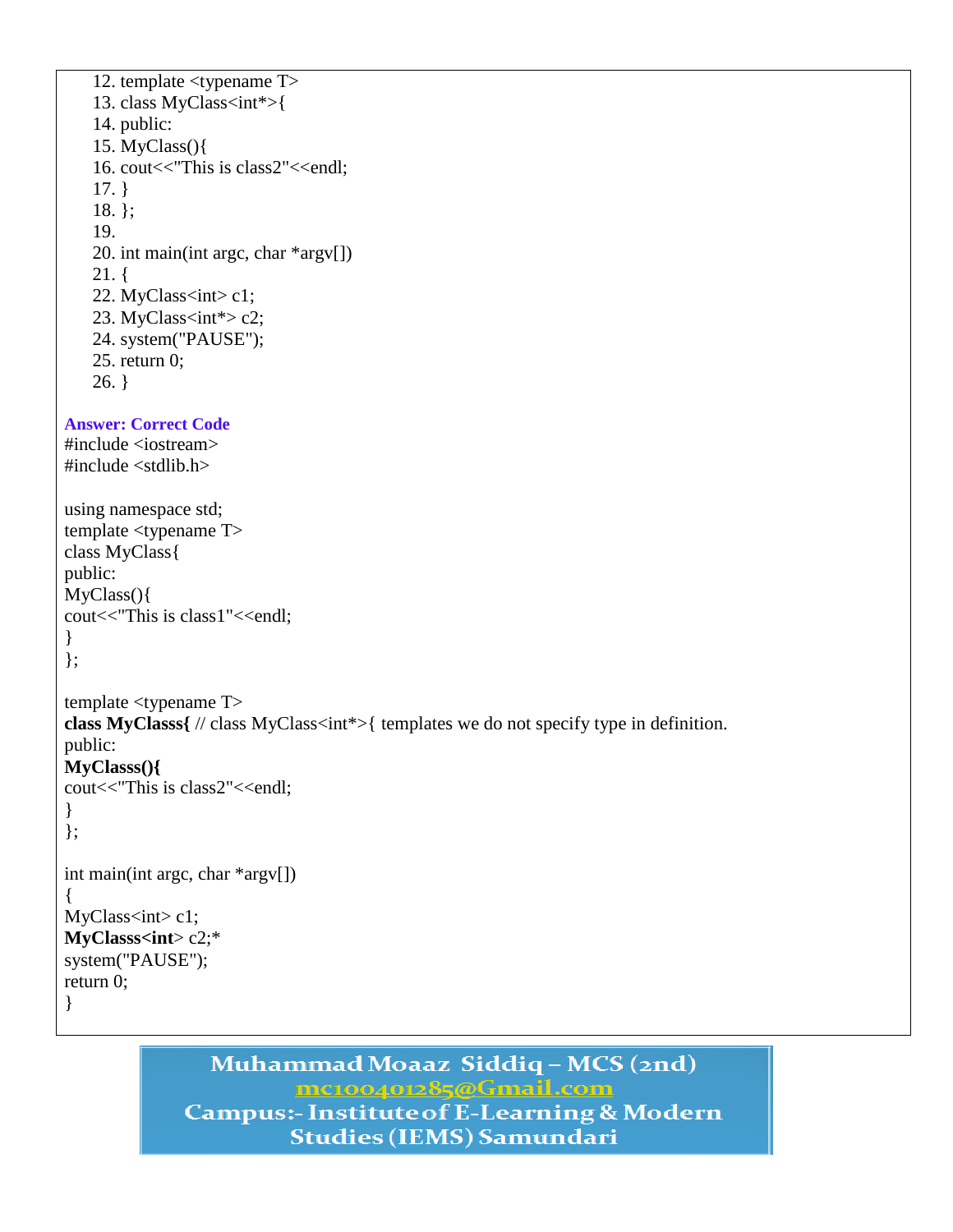```
12. template <typename T> 
   13. class MyClass<int*>{
   14. public:
   15. MyClass(){
   16. cout<<"This is class2"<<endl;
   17. }
   18. };
   19.
   20. int main(int argc, char *argv[])
   21. {
   22. MyClass<int> c1;
   23. MyClass<int*> c2;
   24. system("PAUSE");
   25. return 0;
   26.}
Answer: Correct Code
#include <iostream>
#include <stdlib.h>
using namespace std;
template <typename T>
class MyClass{
public:
MyClass(){
cout<<"This is class1"<<endl;
}
};
template <typename T>
class MyClasss{ // class MyClass<int*>{ templates we do not specify type in definition.
public:
MyClasss(){
cout<<"This is class2"<<endl;
}
};
int main(int argc, char *argv[])
{
MyClass<sub>int</sub> > c1;MyClasss<int> c2;*
system("PAUSE");
return 0;
}
```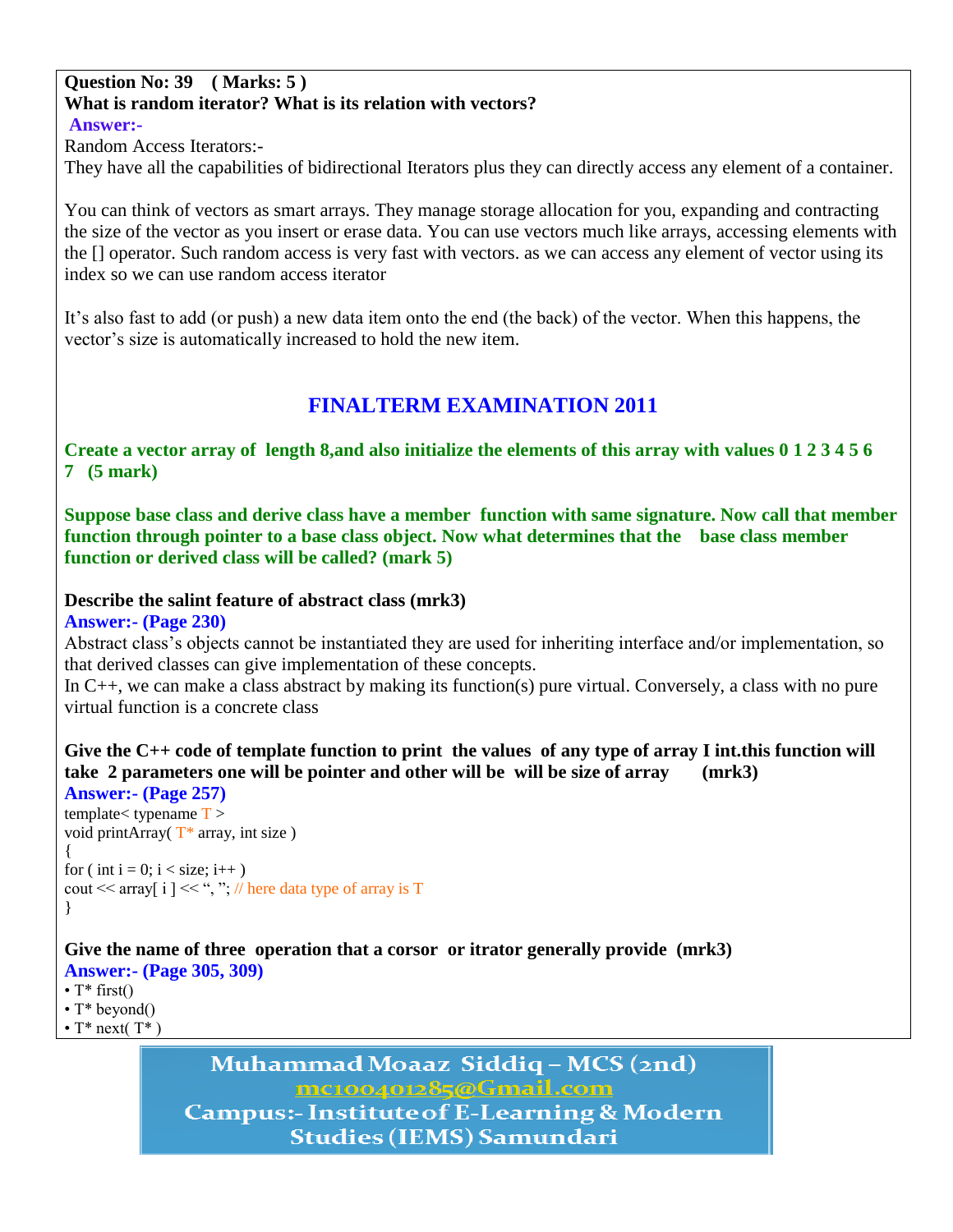#### **Question No: 39 ( Marks: 5 ) What is random iterator? What is its relation with vectors? Answer:-**

Random Access Iterators:-

They have all the capabilities of bidirectional Iterators plus they can directly access any element of a container.

You can think of vectors as smart arrays. They manage storage allocation for you, expanding and contracting the size of the vector as you insert or erase data. You can use vectors much like arrays, accessing elements with the [] operator. Such random access is very fast with vectors. as we can access any element of vector using its index so we can use random access iterator

It's also fast to add (or push) a new data item onto the end (the back) of the vector. When this happens, the vector's size is automatically increased to hold the new item.

# **FINALTERM EXAMINATION 2011**

**Create a vector array of length 8,and also initialize the elements of this array with values 0 1 2 3 4 5 6 7 (5 mark)**

**Suppose base class and derive class have a member function with same signature. Now call that member function through pointer to a base class object. Now what determines that the base class member function or derived class will be called? (mark 5)**

#### **Describe the salint feature of abstract class (mrk3)**

**Answer:- (Page 230)**

Abstract class's objects cannot be instantiated they are used for inheriting interface and/or implementation, so that derived classes can give implementation of these concepts.

In C++, we can make a class abstract by making its function(s) pure virtual. Conversely, a class with no pure virtual function is a concrete class

**Give the C++ code of template function to print the values of any type of array I int.this function will take 2 parameters one will be pointer and other will be will be size of array (mrk3)**

```
Answer:- (Page 257)
template<br/><typename T >void printArray(T^* array, int size)
{
for ( int i = 0; i < size; i++ )
cout << array i \vert \lt\lt, ", ", // here data type of array is T
}
```
**Give the name of three operation that a corsor or itrator generally provide (mrk3)**

**Answer:- (Page 305, 309)**

•  $T^*$  first() • T<sup>\*</sup> beyond()

•  $T^*$  next( $T^*$ )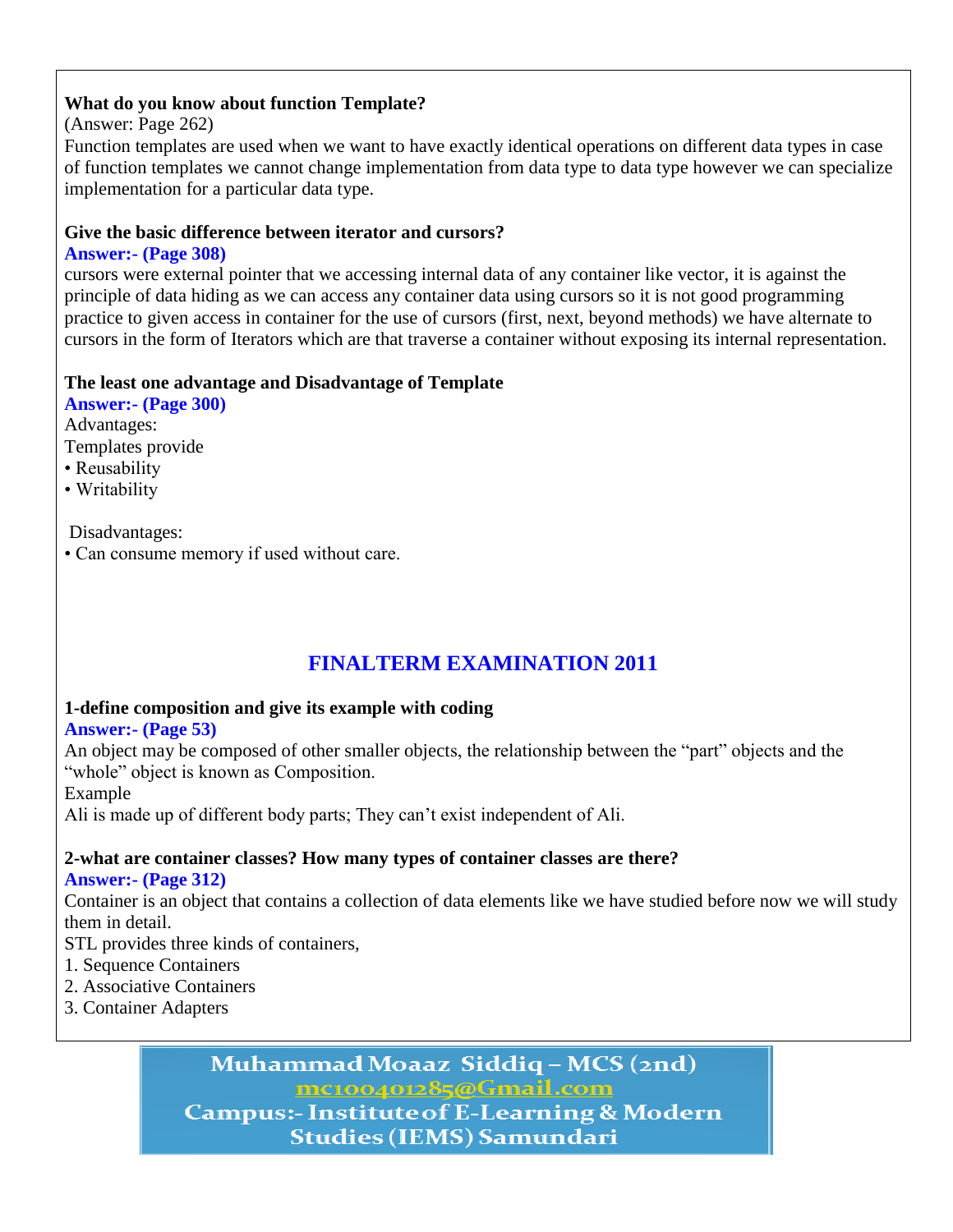### **What do you know about function Template?**

### (Answer: Page 262)

Function templates are used when we want to have exactly identical operations on different data types in case of function templates we cannot change implementation from data type to data type however we can specialize implementation for a particular data type.

### **Give the basic difference between iterator and cursors?**

### **Answer:- (Page 308)**

cursors were external pointer that we accessing internal data of any container like vector, it is against the principle of data hiding as we can access any container data using cursors so it is not good programming practice to given access in container for the use of cursors (first, next, beyond methods) we have alternate to cursors in the form of Iterators which are that traverse a container without exposing its internal representation.

### **The least one advantage and Disadvantage of Template**

**Answer:- (Page 300)** Advantages: Templates provide • Reusability

• Writability

Disadvantages:

• Can consume memory if used without care.

# **FINALTERM EXAMINATION 2011**

# **1-define composition and give its example with coding**

#### **Answer:- (Page 53)**

An object may be composed of other smaller objects, the relationship between the "part" objects and the "whole" object is known as Composition.

Example

Ali is made up of different body parts; They can't exist independent of Ali.

# **2-what are container classes? How many types of container classes are there?**

**Answer:- (Page 312)**

Container is an object that contains a collection of data elements like we have studied before now we will study them in detail.

STL provides three kinds of containers,

- 1. Sequence Containers
- 2. Associative Containers
- 3. Container Adapters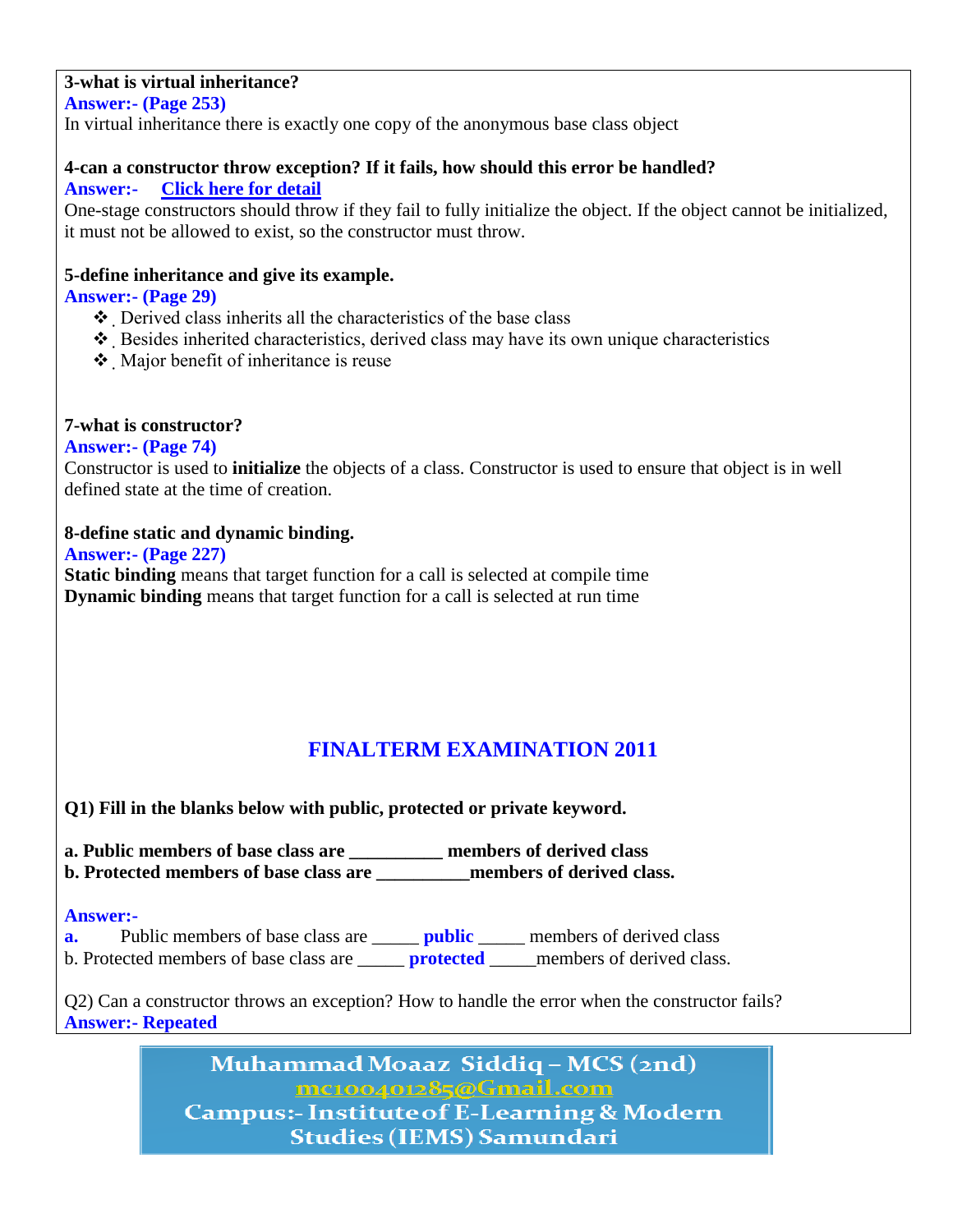# **3-what is virtual inheritance?**

**Answer:- (Page 253)**

In virtual inheritance there is exactly one copy of the anonymous base class object

#### **4-can a constructor throw exception? If it fails, how should this error be handled? Answer:- [Click here for detail](http://stackoverflow.com/questions/77639/when-is-it-right-for-a-constructor-to-throw-an-exception)**

One-stage constructors should throw if they fail to fully initialize the object. If the object cannot be initialized, it must not be allowed to exist, so the constructor must throw.

### **5-define inheritance and give its example.**

**Answer:- (Page 29)**

- $\triangle$  Derived class inherits all the characteristics of the base class
- $\triangle$  Besides inherited characteristics, derived class may have its own unique characteristics
- Major benefit of inheritance is reuse

# **7-what is constructor?**

**Answer:- (Page 74)**

Constructor is used to **initialize** the objects of a class. Constructor is used to ensure that object is in well defined state at the time of creation.

# **8-define static and dynamic binding.**

**Answer:- (Page 227)**

**Static binding** means that target function for a call is selected at compile time **Dynamic binding** means that target function for a call is selected at run time

# **FINALTERM EXAMINATION 2011**

**Q1) Fill in the blanks below with public, protected or private keyword.**

**a. Public members of base class are \_\_\_\_\_\_\_\_\_\_ members of derived class b. Protected members of base class are \_\_\_\_\_\_\_\_\_\_members of derived class.**

#### **Answer:-**

**a.** Public members of base class are **\_\_\_\_\_\_ public** \_\_\_\_\_ members of derived class b. Protected members of base class are \_\_\_\_\_ **protected** \_\_\_\_\_members of derived class.

Q2) Can a constructor throws an exception? How to handle the error when the constructor fails? **Answer:- Repeated**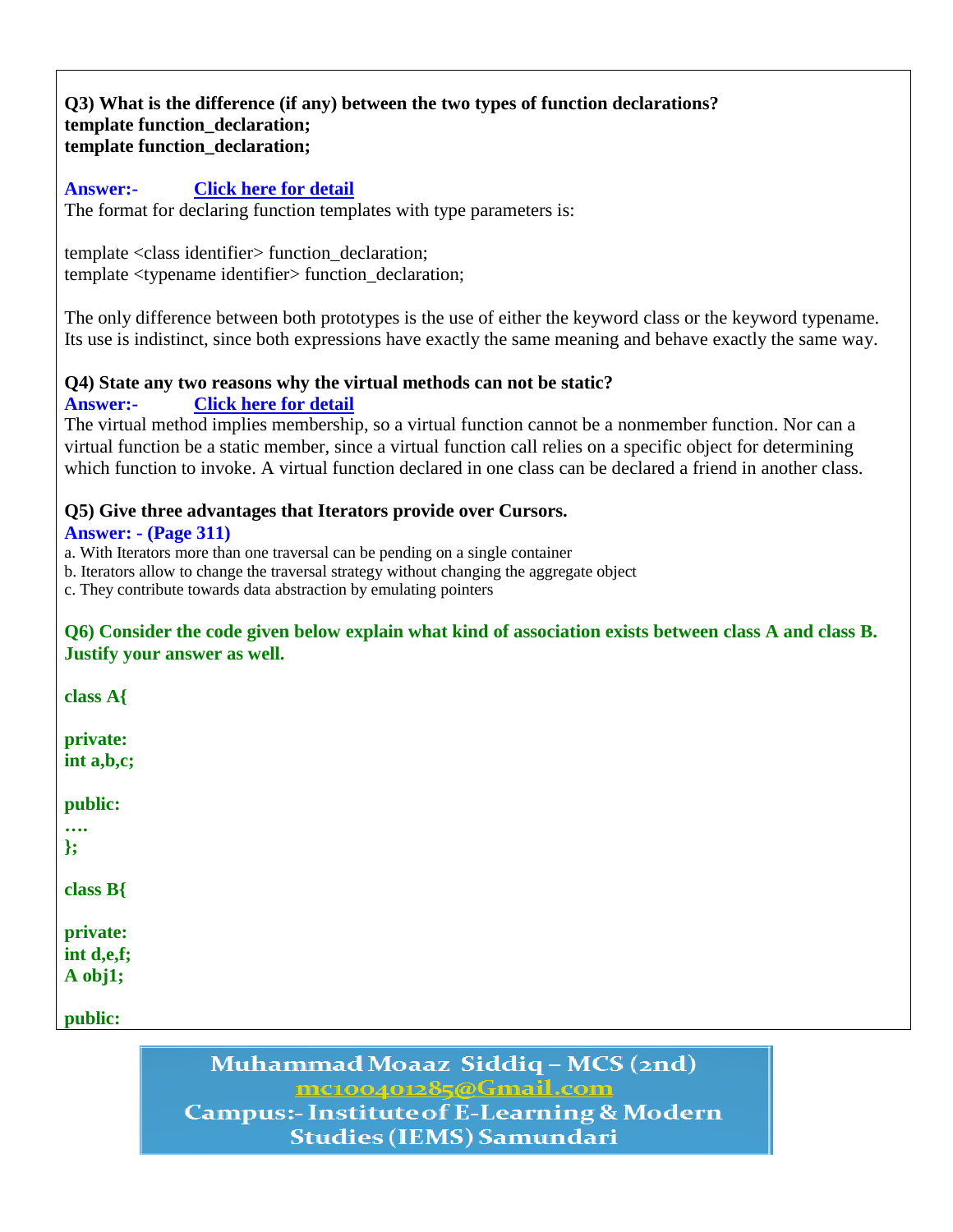#### **Q3) What is the difference (if any) between the two types of function declarations? template function\_declaration; template function\_declaration;**

#### **Answer:- [Click here for detail](http://www.cplusplus.com/doc/tutorial/templates/)**

The format for declaring function templates with type parameters is:

template <class identifier> function\_declaration; template <typename identifier> function\_declaration;

The only difference between both prototypes is the use of either the keyword class or the keyword typename. Its use is indistinct, since both expressions have exactly the same meaning and behave exactly the same way.

#### **Q4) State any two reasons why the virtual methods can not be static?**

**Answer:- [Click here for detail](http://www.codeguru.com/forum/archive/index.php/t-343277.html)**

The virtual method implies membership, so a virtual function cannot be a nonmember function. Nor can a virtual function be a static member, since a virtual function call relies on a specific object for determining which function to invoke. A virtual function declared in one class can be declared a friend in another class.

### **Q5) Give three advantages that Iterators provide over Cursors.**

#### **Answer: - (Page 311)**

a. With Iterators more than one traversal can be pending on a single container

b. Iterators allow to change the traversal strategy without changing the aggregate object

c. They contribute towards data abstraction by emulating pointers

#### **Q6) Consider the code given below explain what kind of association exists between class A and class B. Justify your answer as well.**

**class A{**

**private: int a,b,c;**

**public:**

**…. };**

**class B{**

**private:**

**int d,e,f; A obj1;**

**public:**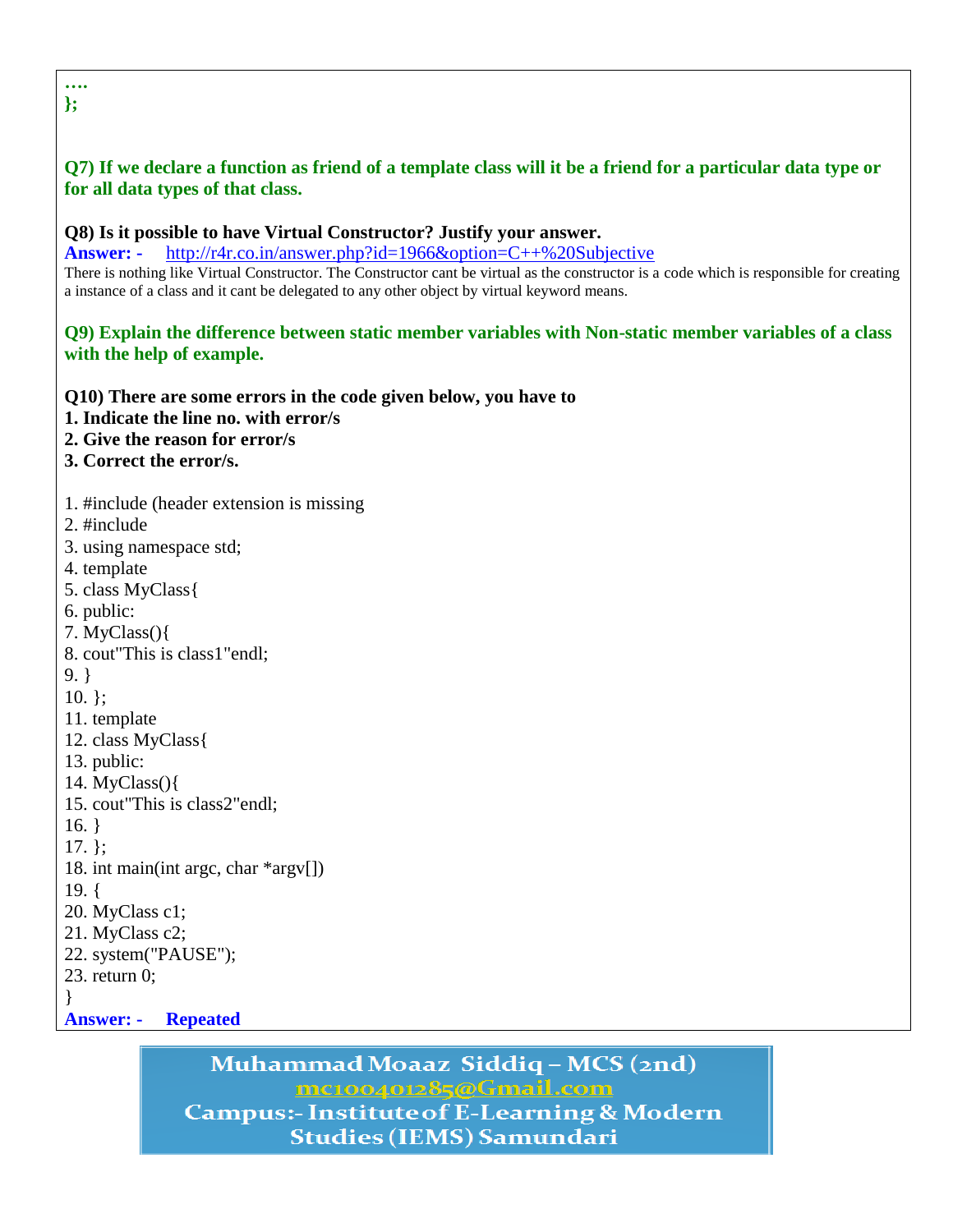# **Q7) If we declare a function as friend of a template class will it be a friend for a particular data type or for all data types of that class.**

#### **Q8) Is it possible to have Virtual Constructor? Justify your answer.**

**Answer: -** <http://r4r.co.in/answer.php?id=1966&option=C++%20Subjective> There is nothing like Virtual Constructor. The Constructor cant be virtual as the constructor is a code which is responsible for creating a instance of a class and it cant be delegated to any other object by virtual keyword means.

#### **Q9) Explain the difference between static member variables with Non-static member variables of a class with the help of example.**

**Q10) There are some errors in the code given below, you have to**

- **1. Indicate the line no. with error/s**
- **2. Give the reason for error/s**
- **3. Correct the error/s.**
- 1. #include (header extension is missing
- 2. #include
- 3. using namespace std;
- 4. template
- 5. class MyClass{
- 6. public:
- 7. MyClass(){
- 8. cout"This is class1"endl;
- 9. }
- 10. };
- 11. template
- 12. class MyClass{
- 13. public:
- 14. MyClass(){
- 15. cout"This is class2"endl;
- 16. }

17. };

- 18. int main(int argc, char \*argv[])
- 19. {
- 20. MyClass c1;
- 21. MyClass c2;
- 22. system("PAUSE");
- 23. return 0;
- }
- **Answer: Repeated**

# Muhammad Moaaz Siddiq - MCS (2nd) mc100401285@Gmail.com **Campus:- Institute of E-Learning & Modern**

**Studies (IEMS) Samundari** 

#### **…. };**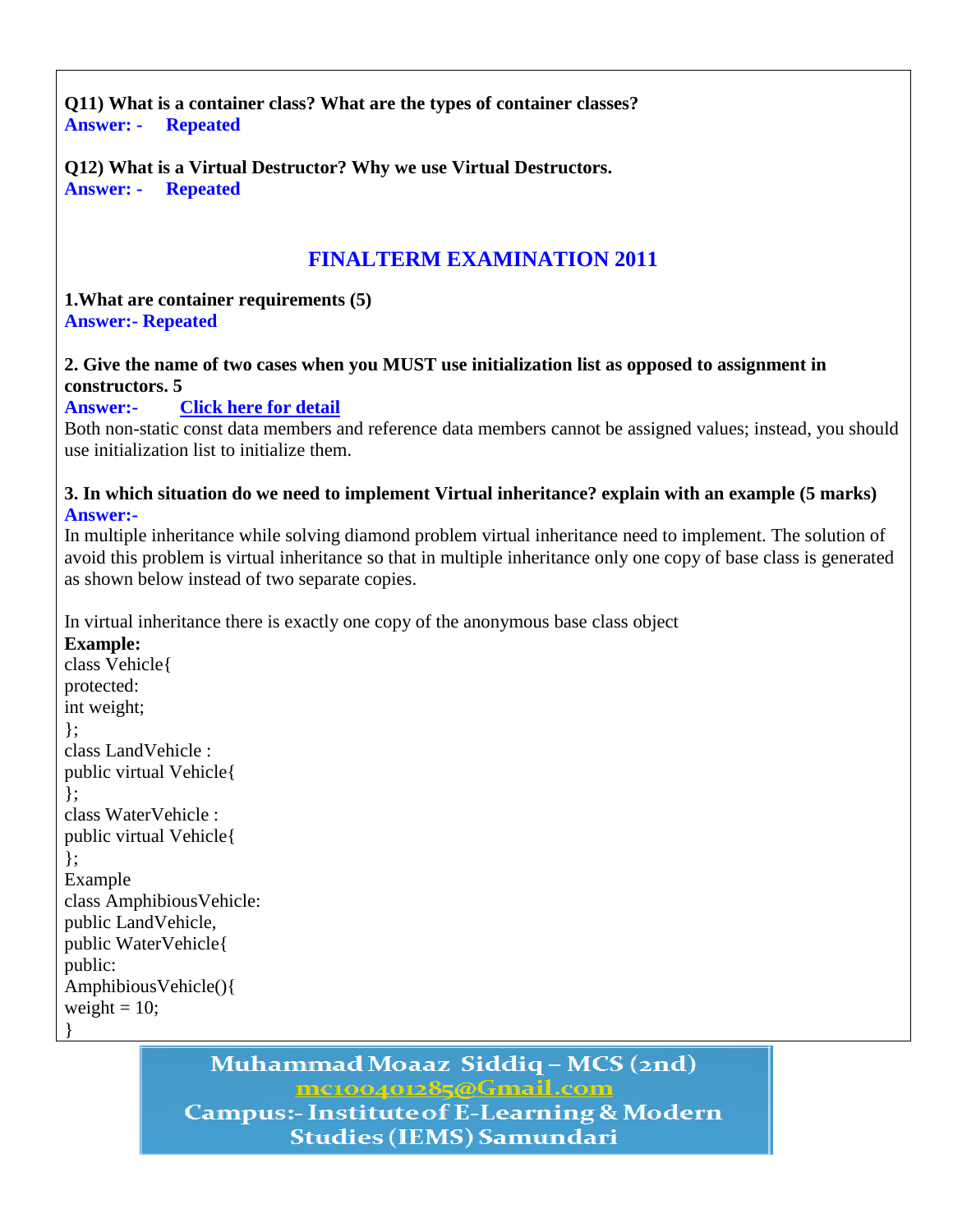**Q11) What is a container class? What are the types of container classes? Answer: - Repeated**

**Q12) What is a Virtual Destructor? Why we use Virtual Destructors. Answer: - Repeated**

# **FINALTERM EXAMINATION 2011**

**1.What are container requirements (5) Answer:- Repeated**

### **2. Give the name of two cases when you MUST use initialization list as opposed to assignment in constructors. 5**

**Answer:- [Click here for detail](http://www.possibility.com/wiki/index.php?title=CppInterviewQuestions)**

Both non-static const data members and reference data members cannot be assigned values; instead, you should use initialization list to initialize them.

#### **3. In which situation do we need to implement Virtual inheritance? explain with an example (5 marks) Answer:-**

In multiple inheritance while solving diamond problem virtual inheritance need to implement. The solution of avoid this problem is virtual inheritance so that in multiple inheritance only one copy of base class is generated as shown below instead of two separate copies.

In virtual inheritance there is exactly one copy of the anonymous base class object

**Example:** class Vehicle{ protected: int weight; }; class LandVehicle : public virtual Vehicle{ }; class WaterVehicle : public virtual Vehicle{ }; Example class AmphibiousVehicle: public LandVehicle, public WaterVehicle{ public: AmphibiousVehicle(){ weight  $= 10$ ; }

# Muhammad Moaaz Siddiq - MCS (2nd)

mc100401285@Gmail.com **Campus:- Institute of E-Learning & Modern Studies (IEMS) Samundari**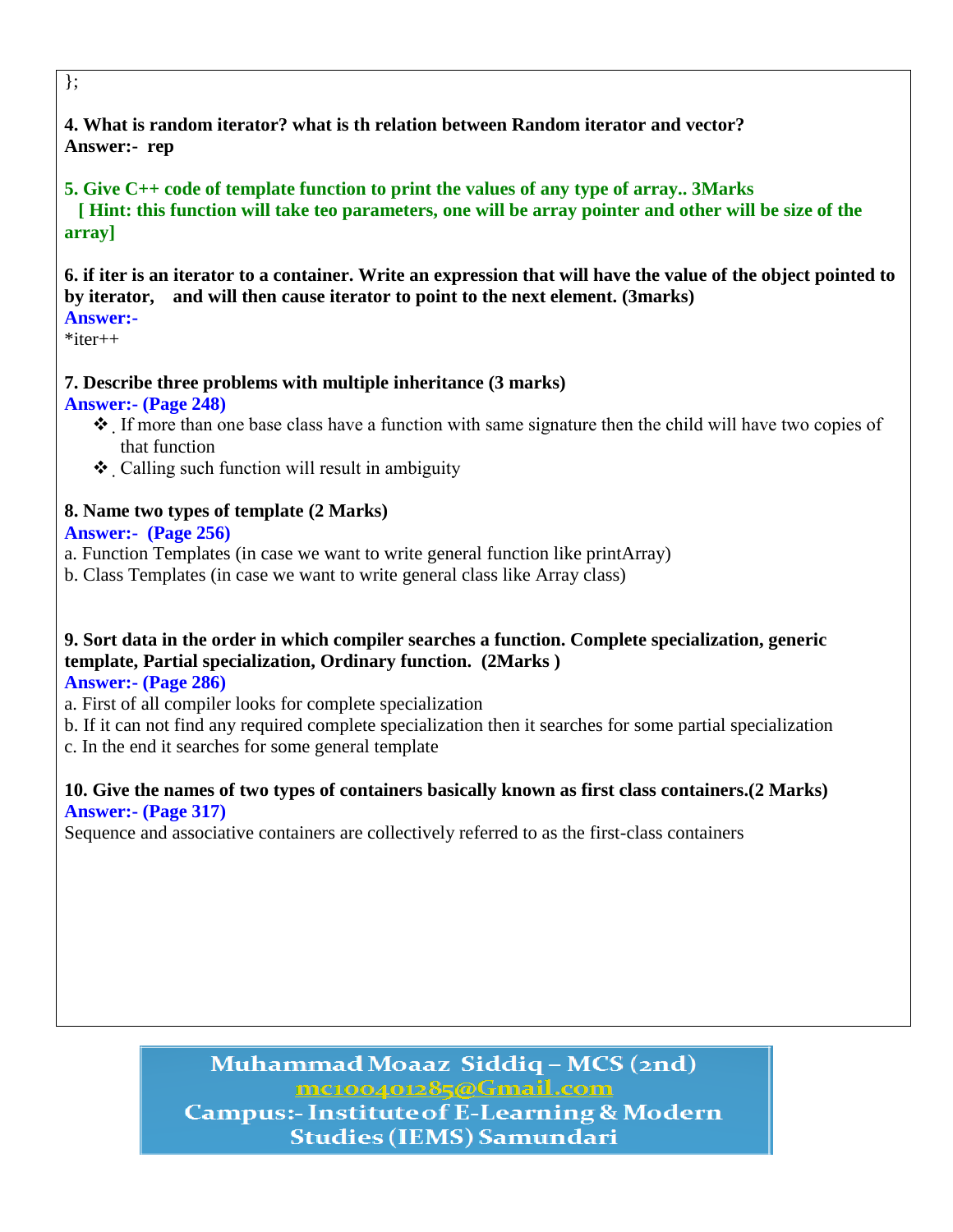### **4. What is random iterator? what is th relation between Random iterator and vector? Answer:- rep**

# **5. Give C++ code of template function to print the values of any type of array.. 3Marks**

 **[ Hint: this function will take teo parameters, one will be array pointer and other will be size of the array]**

**6. if iter is an iterator to a container. Write an expression that will have the value of the object pointed to by iterator, and will then cause iterator to point to the next element. (3marks)**

# **Answer:-**

 $*$ iter $++$ 

# **7. Describe three problems with multiple inheritance (3 marks)**

### **Answer:- (Page 248)**

- If more than one base class have a function with same signature then the child will have two copies of that function
- Calling such function will result in ambiguity

# **8. Name two types of template (2 Marks)**

### **Answer:- (Page 256)**

- a. Function Templates (in case we want to write general function like printArray)
- b. Class Templates (in case we want to write general class like Array class)

# **9. Sort data in the order in which compiler searches a function. Complete specialization, generic template, Partial specialization, Ordinary function. (2Marks )**

#### **Answer:- (Page 286)**

- a. First of all compiler looks for complete specialization
- b. If it can not find any required complete specialization then it searches for some partial specialization c. In the end it searches for some general template

### **10. Give the names of two types of containers basically known as first class containers.(2 Marks) Answer:- (Page 317)**

Sequence and associative containers are collectively referred to as the first-class containers

# Muhammad Moaaz Siddiq - MCS (2nd) mc100401285@Gmail.com **Campus:- Institute of E-Learning & Modern Studies (IEMS) Samundari**

};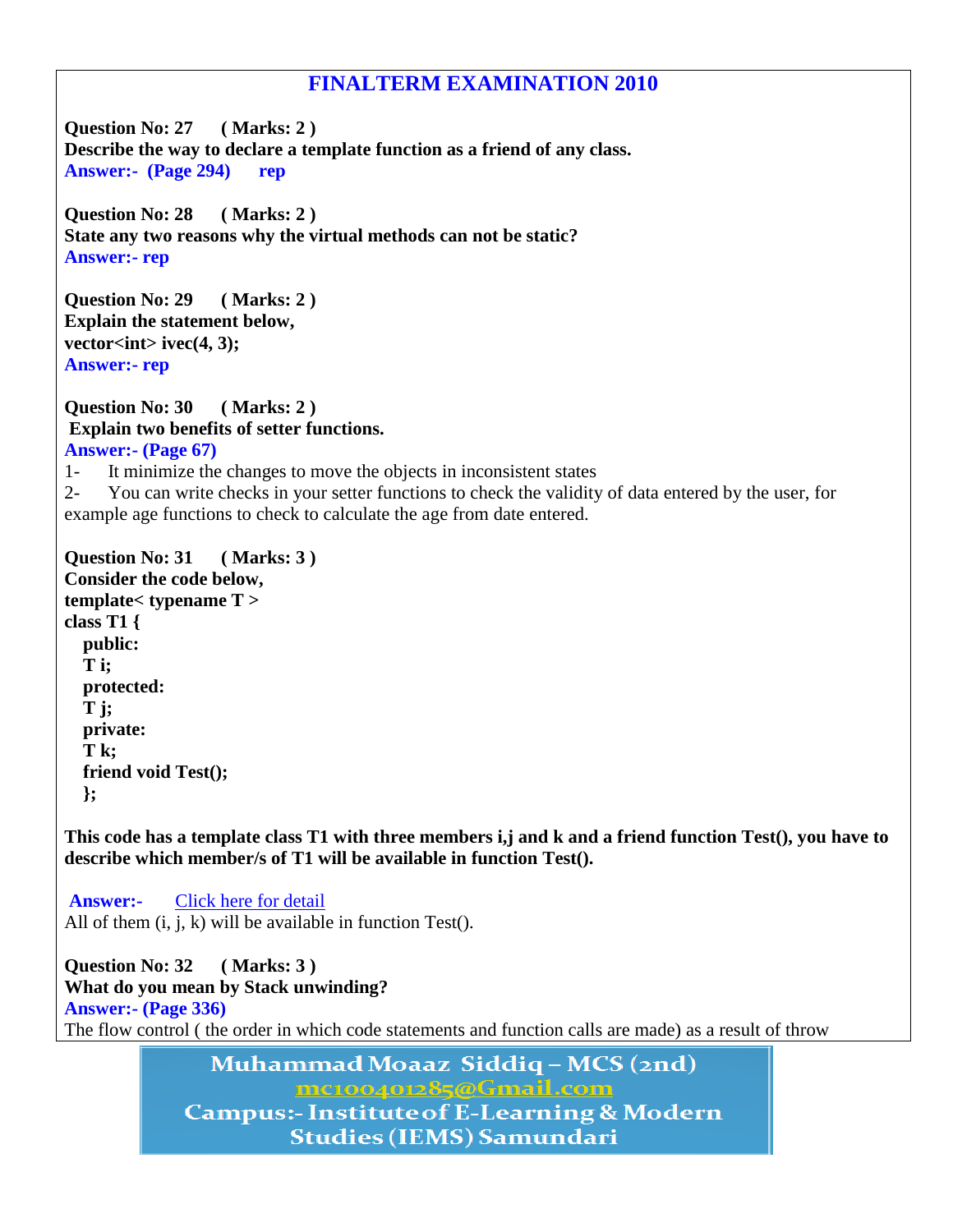# **FINALTERM EXAMINATION 2010**

**Question No: 27 ( Marks: 2 ) Describe the way to declare a template function as a friend of any class. Answer:- (Page 294) rep**

**Question No: 28 ( Marks: 2 ) State any two reasons why the virtual methods can not be static? Answer:- rep**

**Question No: 29 ( Marks: 2 ) Explain the statement below,** vector<int> ivec(4, 3); **Answer:- rep**

**Question No: 30 ( Marks: 2 ) Explain two benefits of setter functions. Answer:- (Page 67)**

1- It minimize the changes to move the objects in inconsistent states

2- You can write checks in your setter functions to check the validity of data entered by the user, for example age functions to check to calculate the age from date entered.

**Question No: 31 ( Marks: 3 ) Consider the code below, template< typename T > class T1 { public: T i; protected: T j; private: T k; friend void Test(); };**

**This code has a template class T1 with three members i,j and k and a friend function Test(), you have to describe which member/s of T1 will be available in function Test().**

**Answer:-** [Click here for detail](http://stackoverflow.com/questions/3447773/access-specifiers-in-c) All of them  $(i, j, k)$  will be available in function Test $(i, j, k)$ 

**Question No: 32 ( Marks: 3 ) What do you mean by Stack unwinding? Answer:- (Page 336)** The flow control ( the order in which code statements and function calls are made) as a result of throw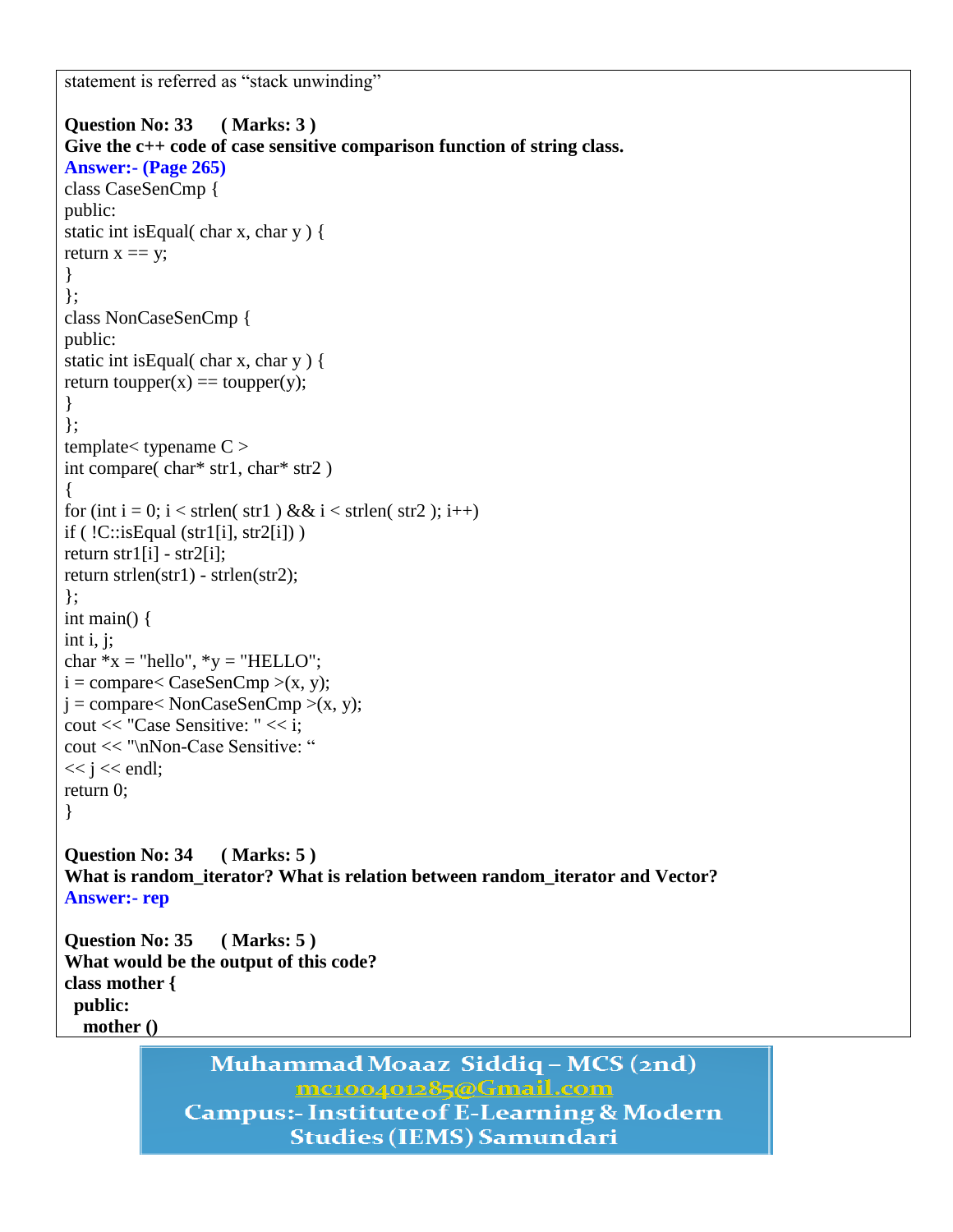statement is referred as "stack unwinding"

```
Question No: 33 ( Marks: 3 )
Give the c++ code of case sensitive comparison function of string class.
Answer:- (Page 265)
class CaseSenCmp {
public:
static int isEqual( char x, char y ) {
return x == y;
}
};
class NonCaseSenCmp {
public:
static int isEqual( char x, char y ) {
return toupper(x) == toupper(y);
}
};
template<br/><typename C >int compare( char* str1, char* str2 )
{
for (int i = 0; i < strlen( str1 ) && i < strlen( str2 ); i++)
if (!C::isEqual (str1[i], str2[i]))
return str1[i] - str2[i];
return strlen(str1) - strlen(str2);
};
int main() {
int i, j;
char *x = "hello", *y = "HELLO";i = \text{compare} < \text{CaseSenCmp} > (x, y);j = \text{compare} < \text{NonCaseSenCmp} > (x, y);cout << "Case Sensitive: " << i;
cout << "\nNon-Case Sensitive: "
<< j << endl;
return 0;
}
Question No: 34 ( Marks: 5 )
What is random_iterator? What is relation between random_iterator and Vector?
Answer:- rep
Question No: 35 ( Marks: 5 )
What would be the output of this code?
class mother {
 public:
   mother ()
```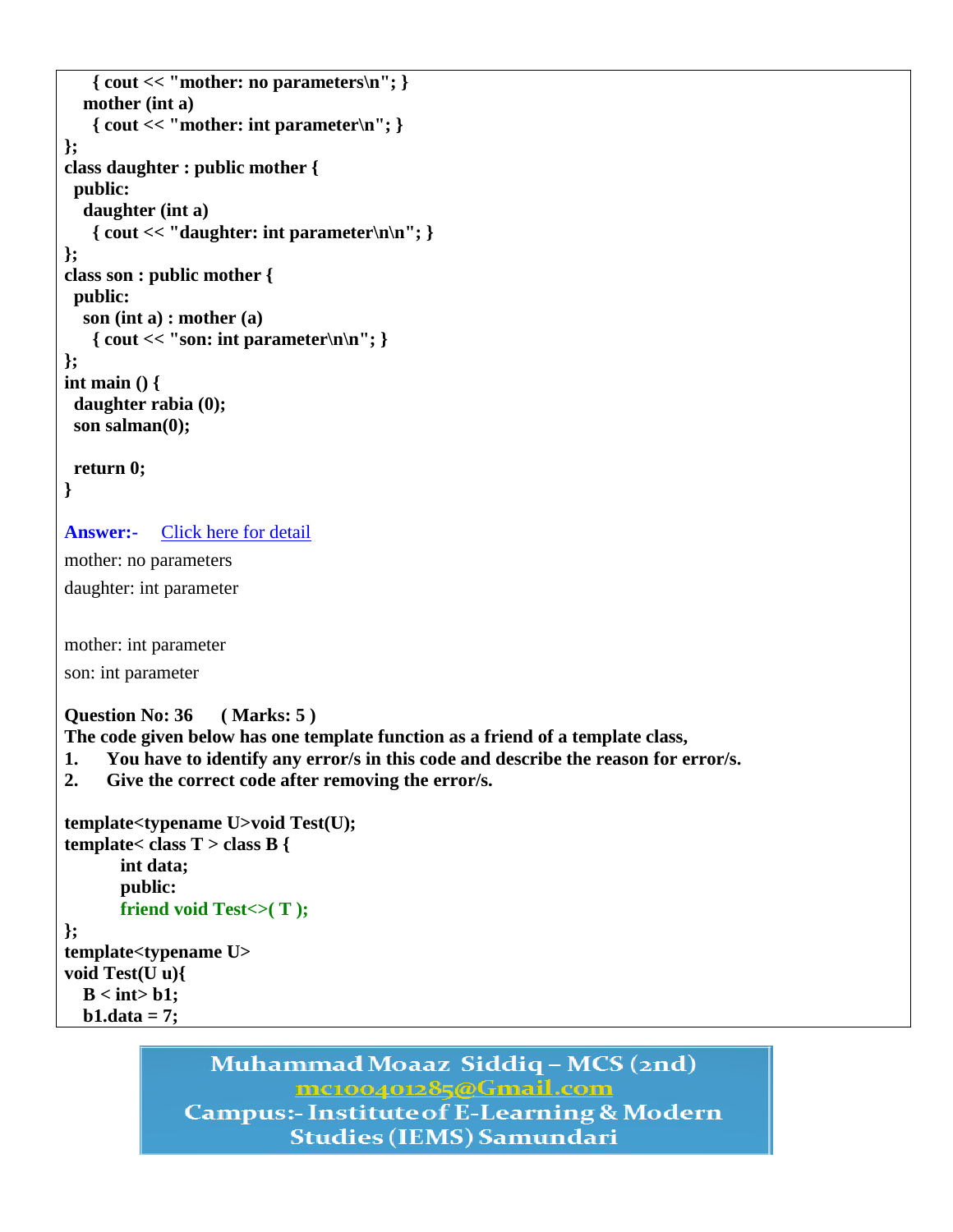```
 { cout << "mother: no parameters\n"; }
   mother (int a)
    { cout << "mother: int parameter\n"; }
};
class daughter : public mother {
 public:
   daughter (int a)
   \{ \text{ cout} << "daughter: \text{ int parameter}\n\| \};
class son : public mother {
 public:
   son (int a) : mother (a)
    { cout << "son: int parameter\n\n"; }
};
int main () {
 daughter rabia (0);
 son salman(0);
 return 0;
```

```
}
```
**Answer:-** [Click here for detail](http://sourcecodemania.com/inheritance-in-c/)

mother: no parameters daughter: int parameter

mother: int parameter

son: int parameter

**Question No: 36 ( Marks: 5 )**

**The code given below has one template function as a friend of a template class,** 

- **1. You have to identify any error/s in this code and describe the reason for error/s.**
- **2. Give the correct code after removing the error/s.**

```
template<typename U>void Test(U);
template< class T > class B {
       int data;
       public:
      friend void Test<>(T);
};
template<typename U>
void Test(U u){
  B < int b1:
   b1.data = 7;
```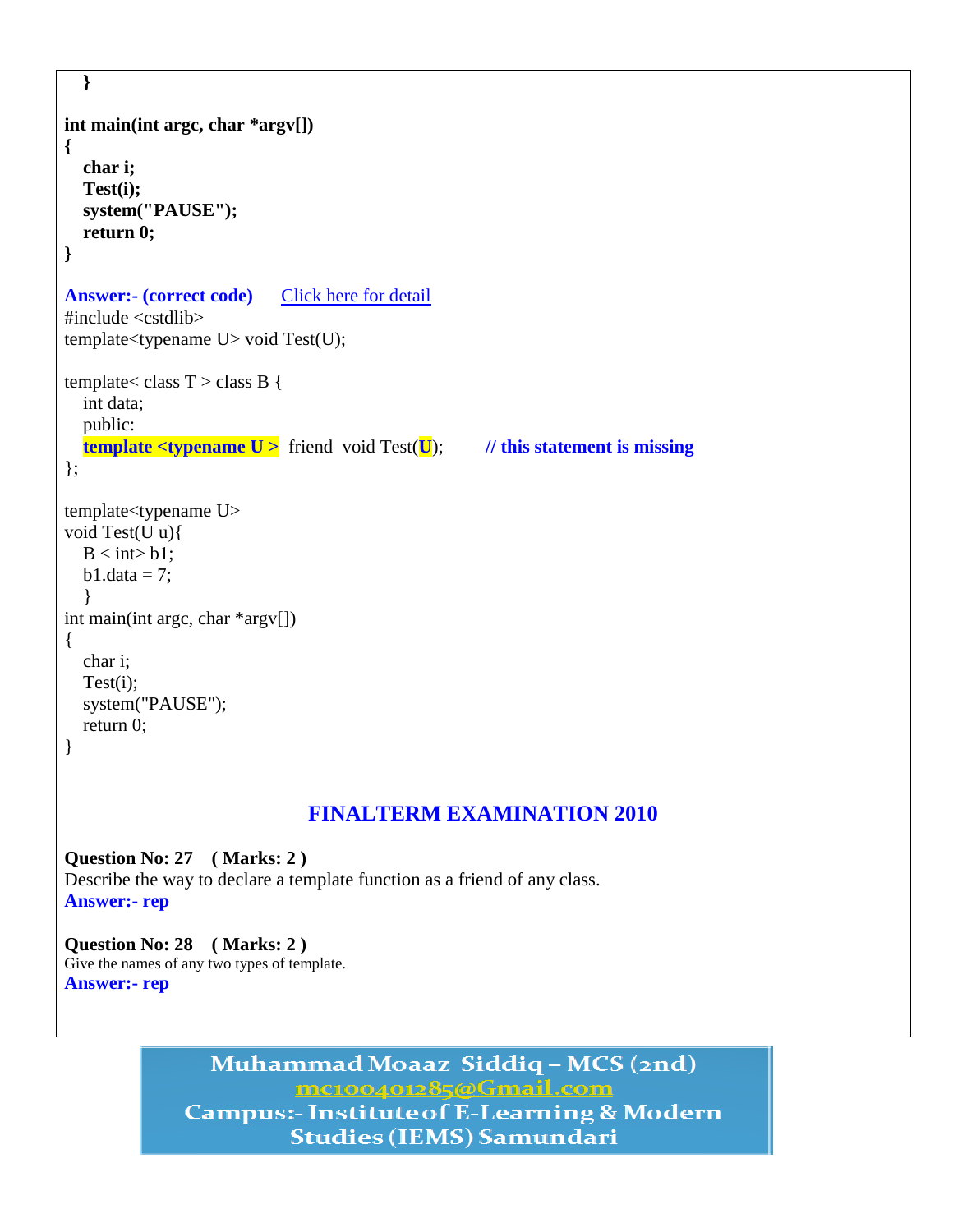```
 }
int main(int argc, char *argv[])
{
   char i;
   Test(i);
   system("PAUSE"); 
   return 0;
}
Answer:- (correct code) Click here for detail
#include <cstdlib>
template<typename U> void Test(U);
template< class T > class B {
   int data;
   public:
   template <typename U > friend void Test(U); // this statement is missing
};
template<typename U>
void Test(U u){
  B < \text{int} > b1;
  b1.data = 7;
   }
int main(int argc, char *argv[])
\{ char i;
   Test(i);
   system("PAUSE"); 
   return 0;
}
                               FINALTERM EXAMINATION 2010
Question No: 27 ( Marks: 2 ) 
Describe the way to declare a template function as a friend of any class.
```
**Answer:- rep**

**Question No: 28 ( Marks: 2 )**  Give the names of any two types of template. **Answer:- rep**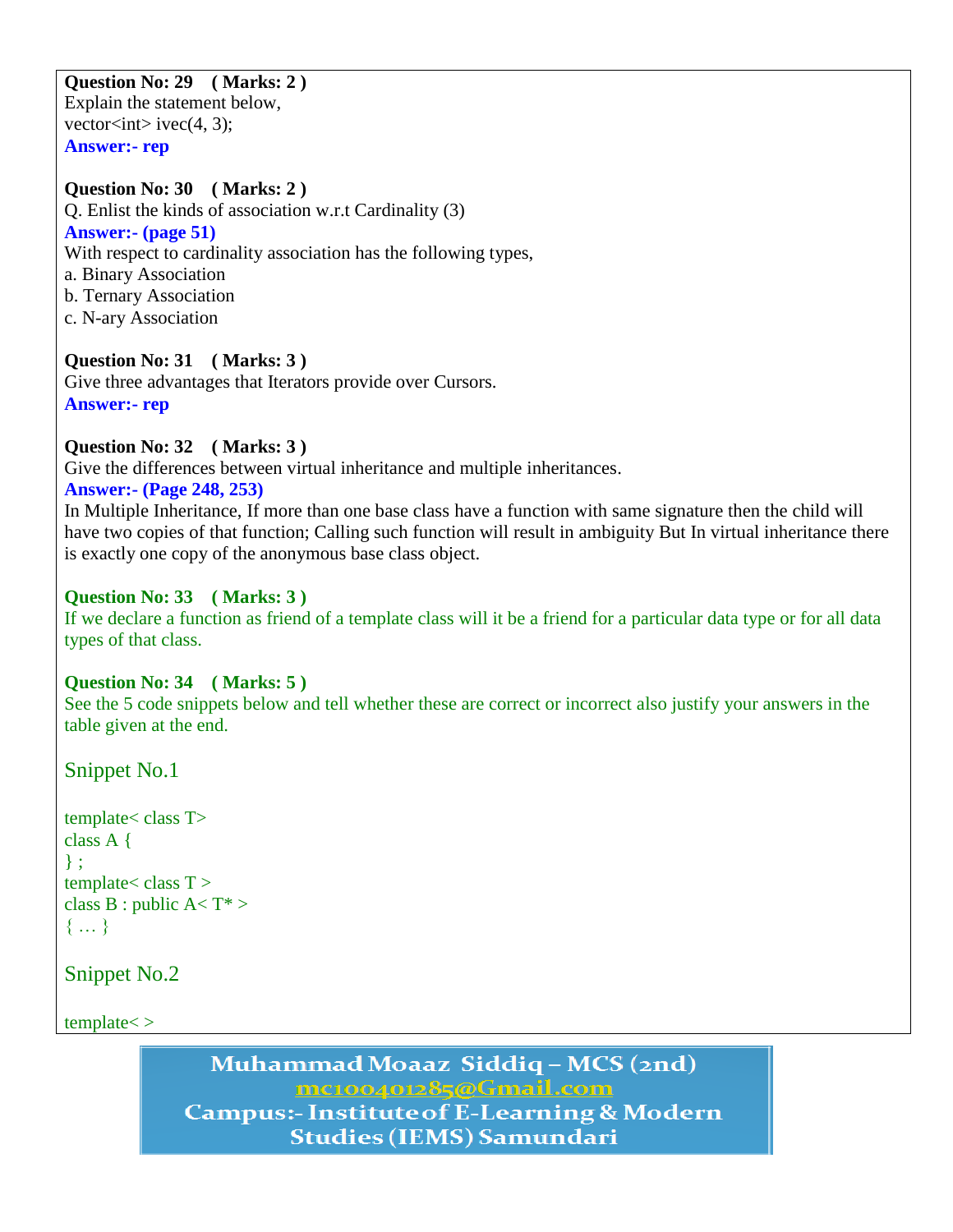#### **Question No: 29 ( Marks: 2 )**  Explain the statement below, vector $\langle int \rangle$  ivec(4, 3);

**Answer:- rep**

### **Question No: 30 ( Marks: 2 )**

Q. Enlist the kinds of association w.r.t Cardinality (3) **Answer:- (page 51)** With respect to cardinality association has the following types, a. Binary Association b. Ternary Association c. N-ary Association

**Question No: 31 ( Marks: 3 )**  Give three advantages that Iterators provide over Cursors. **Answer:- rep**

#### **Question No: 32 ( Marks: 3 )**

Give the differences between virtual inheritance and multiple inheritances.

### **Answer:- (Page 248, 253)**

In Multiple Inheritance, If more than one base class have a function with same signature then the child will have two copies of that function; Calling such function will result in ambiguity But In virtual inheritance there is exactly one copy of the anonymous base class object.

### **Question No: 33 ( Marks: 3 )**

If we declare a function as friend of a template class will it be a friend for a particular data type or for all data types of that class.

# **Question No: 34 ( Marks: 5 )**

See the 5 code snippets below and tell whether these are correct or incorrect also justify your answers in the table given at the end.

Snippet No.1

```
template< class T>
class A {
} ;
template < class T >class B : public A < T^*{ … }
```
Snippet No.2

template< >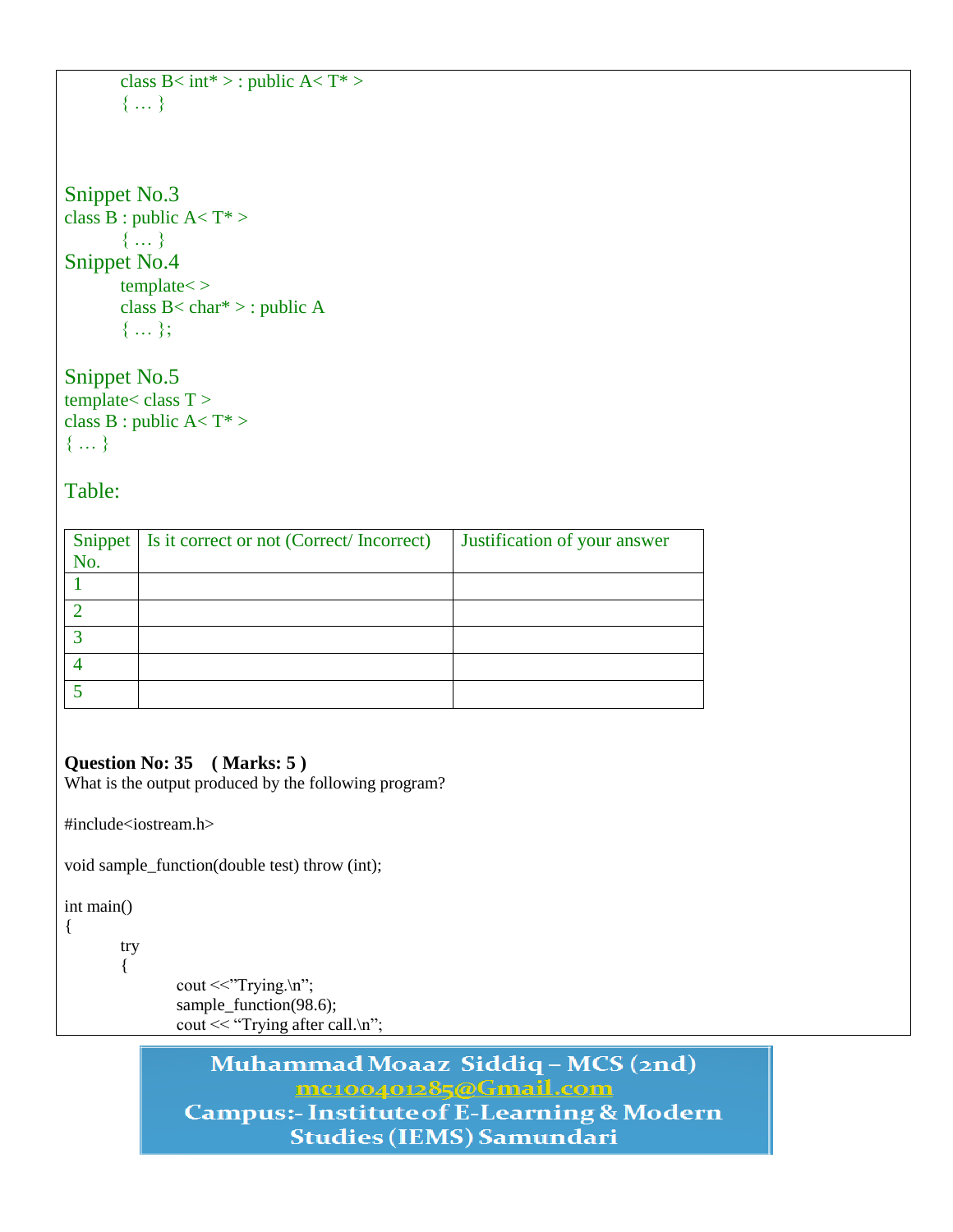```
class B< int* > : public A< T^* >
{ … }
```

```
Snippet No.3
class \overline{B} : public A< T* >
        { … }
Snippet No.4
        template< >
        class B< char* > : public A
        \{ \dots \};
```
Snippet No.5  $template < class T >$ class B : public  $A < T^*$ { … }

Table:

|     | Snippet   Is it correct or not (Correct/Incorrect) | Justification of your answer |
|-----|----------------------------------------------------|------------------------------|
| No. |                                                    |                              |
|     |                                                    |                              |
|     |                                                    |                              |
|     |                                                    |                              |
|     |                                                    |                              |
|     |                                                    |                              |

# **Question No: 35 ( Marks: 5 )**

What is the output produced by the following program?

#include<iostream.h>

void sample\_function(double test) throw (int);

int main()

{

try { cout  $<<$ "Trying. $\ln$ "; sample\_function(98.6); cout  $<<$  "Trying after call.\n";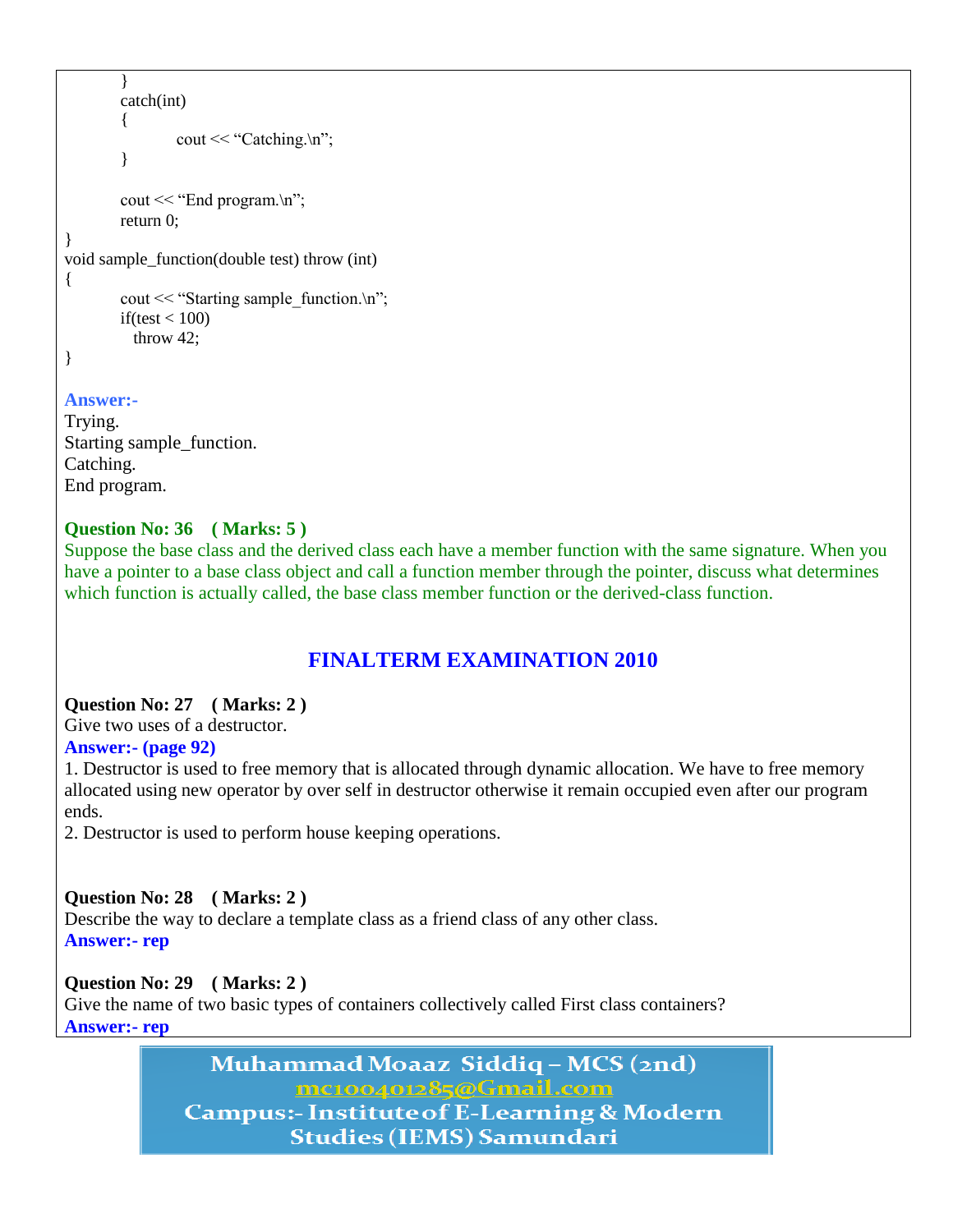```
}
        catch(int)
        {
                cout << "Catching.\n";
        }
        cout << "End program.\ln";
        return 0;
}
void sample_function(double test) throw (int)
{
        cout << "Starting sample function.\ln";
        if(test < 100)
           throw 42;
}
```
#### **Answer:-**

```
Trying.
Starting sample_function.
Catching.
End program.
```
### **Question No: 36 ( Marks: 5 )**

Suppose the base class and the derived class each have a member function with the same signature. When you have a pointer to a base class object and call a function member through the pointer, discuss what determines which function is actually called, the base class member function or the derived-class function.

# **FINALTERM EXAMINATION 2010**

#### **Question No: 27 ( Marks: 2 )**

Give two uses of a destructor.

#### **Answer:- (page 92)**

1. Destructor is used to free memory that is allocated through dynamic allocation. We have to free memory allocated using new operator by over self in destructor otherwise it remain occupied even after our program ends.

2. Destructor is used to perform house keeping operations.

#### **Question No: 28 ( Marks: 2 )**

Describe the way to declare a template class as a friend class of any other class. **Answer:- rep**

#### **Question No: 29 ( Marks: 2 )**

Give the name of two basic types of containers collectively called First class containers? **Answer:- rep**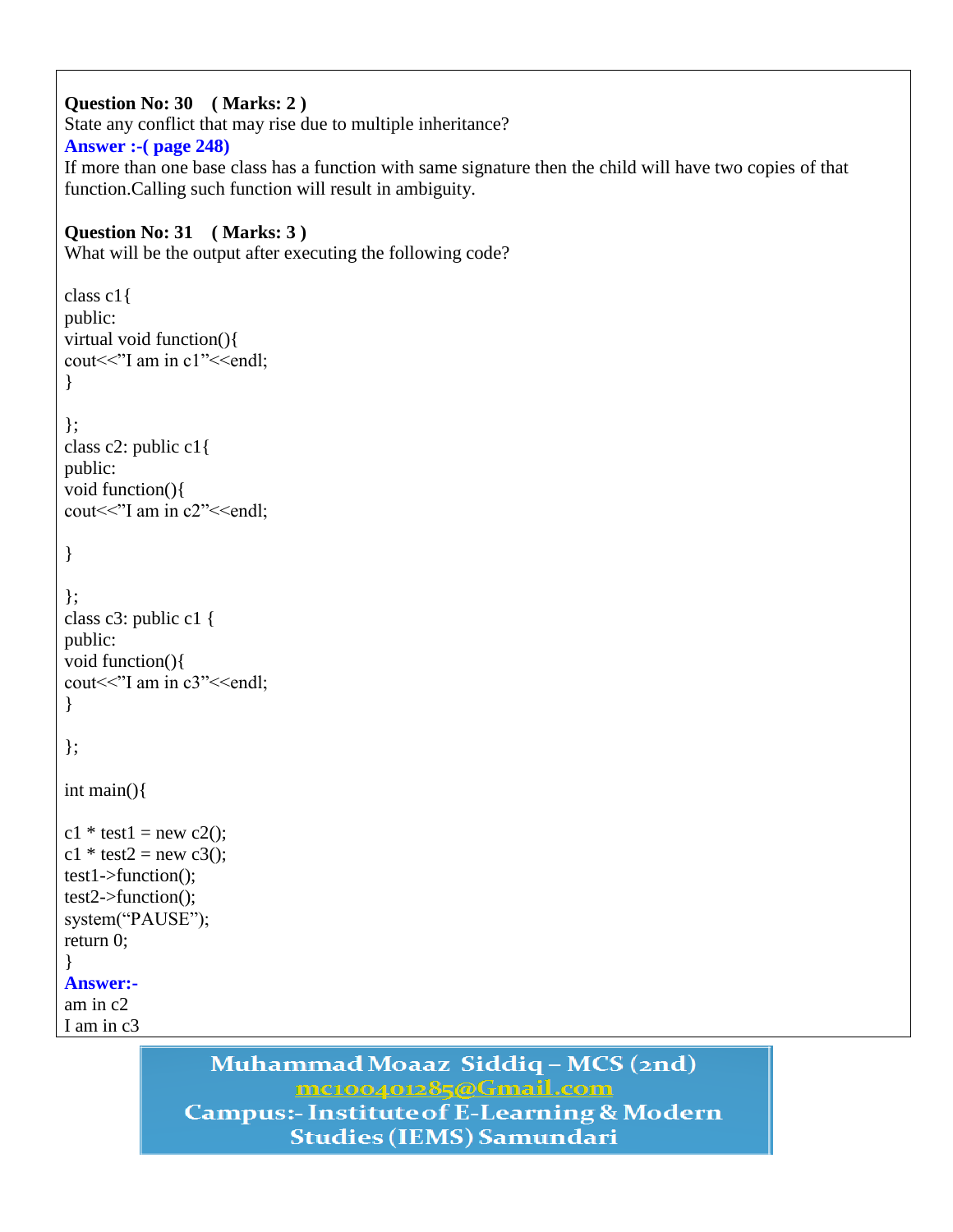```
Question No: 30 ( Marks: 2 ) 
State any conflict that may rise due to multiple inheritance?
Answer :-( page 248)
If more than one base class has a function with same signature then the child will have two copies of that 
function.Calling such function will result in ambiguity.
```

```
Question No: 31 ( Marks: 3 )
```
What will be the output after executing the following code?

```
class c1{
public: 
virtual void function(){
cout << "I am in c1" << < endl;
}
};
class c2: public c1{
public:
void function(){
cout << "I am in c2" << < endl;
}
};
class c3: public c1 {
public:
void function(){
cout << "I am in c3" << < endl;
}
};
int main(){
c1 * test1 = new c2;
c1 * test2 = new c3;
test1->function();
test2->function();
system("PAUSE");
return 0;
}
Answer:-
am in c2
I am in c3
```
# Muhammad Moaaz Siddiq - MCS (2nd) mc100401285@Gmail.com **Campus:- Institute of E-Learning & Modern**

**Studies (IEMS) Samundari**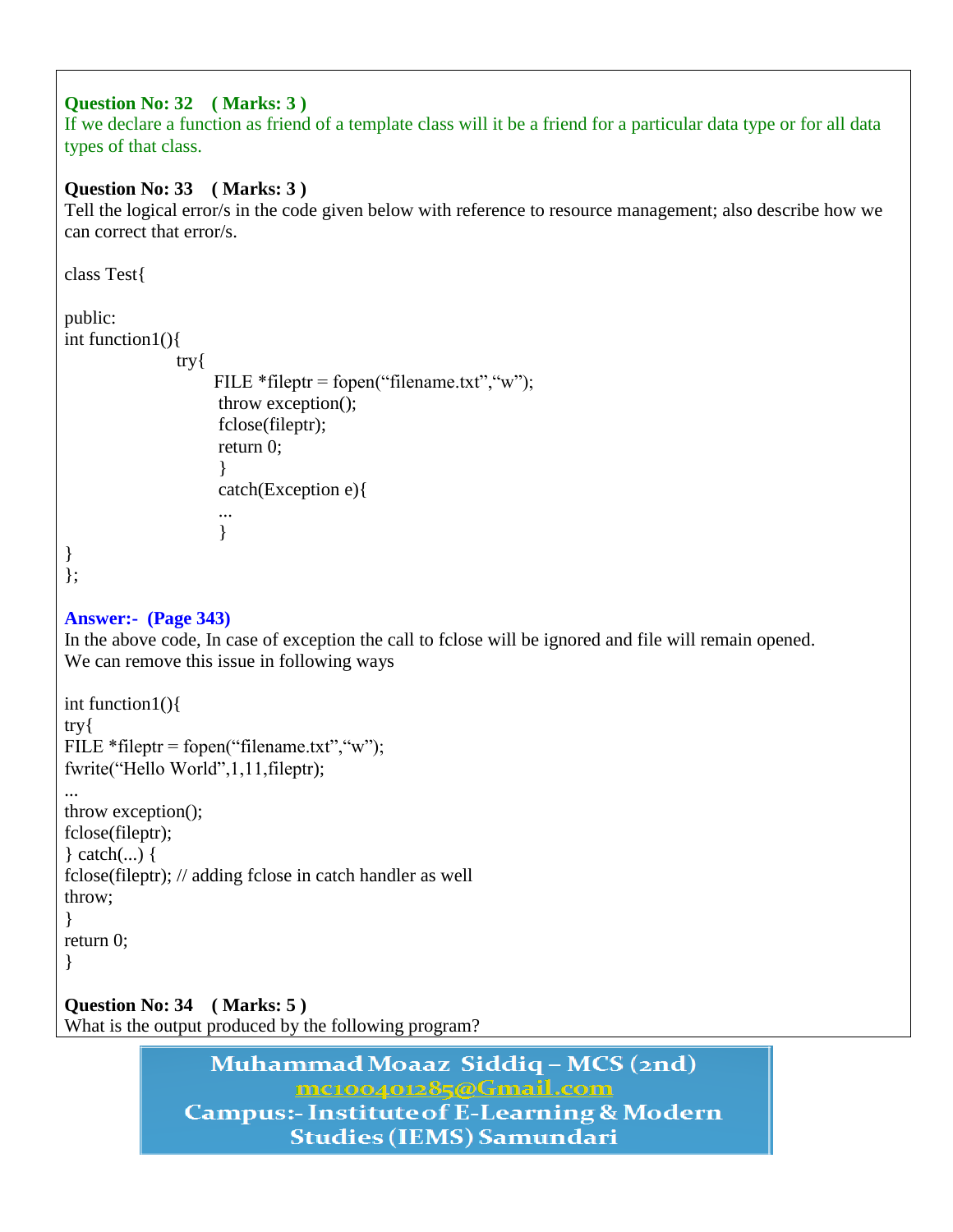### **Question No: 32 ( Marks: 3 )**

If we declare a function as friend of a template class will it be a friend for a particular data type or for all data types of that class.

### **Question No: 33 ( Marks: 3 )**

Tell the logical error/s in the code given below with reference to resource management; also describe how we can correct that error/s.

```
class Test{
public:
int function1(){
             try{
                  FILE *fileptr = fopen("filename.txt", "w");
                    throw exception();
                    fclose(fileptr);
                    return 0;
 }
                    catch(Exception e){
 ...
 }
}
};
Answer:- (Page 343)
In the above code, In case of exception the call to fclose will be ignored and file will remain opened.
We can remove this issue in following ways
int function1(){
try{
FILE * fileptr = fopen("filename.txt", "w");
fwrite("Hello World",1,11,fileptr);
...
throw exception();
fclose(fileptr);
} catch(...) {
fclose(fileptr); // adding fclose in catch handler as well
throw;
}
return 0;
}
Question No: 34 ( Marks: 5 ) 
What is the output produced by the following program?
```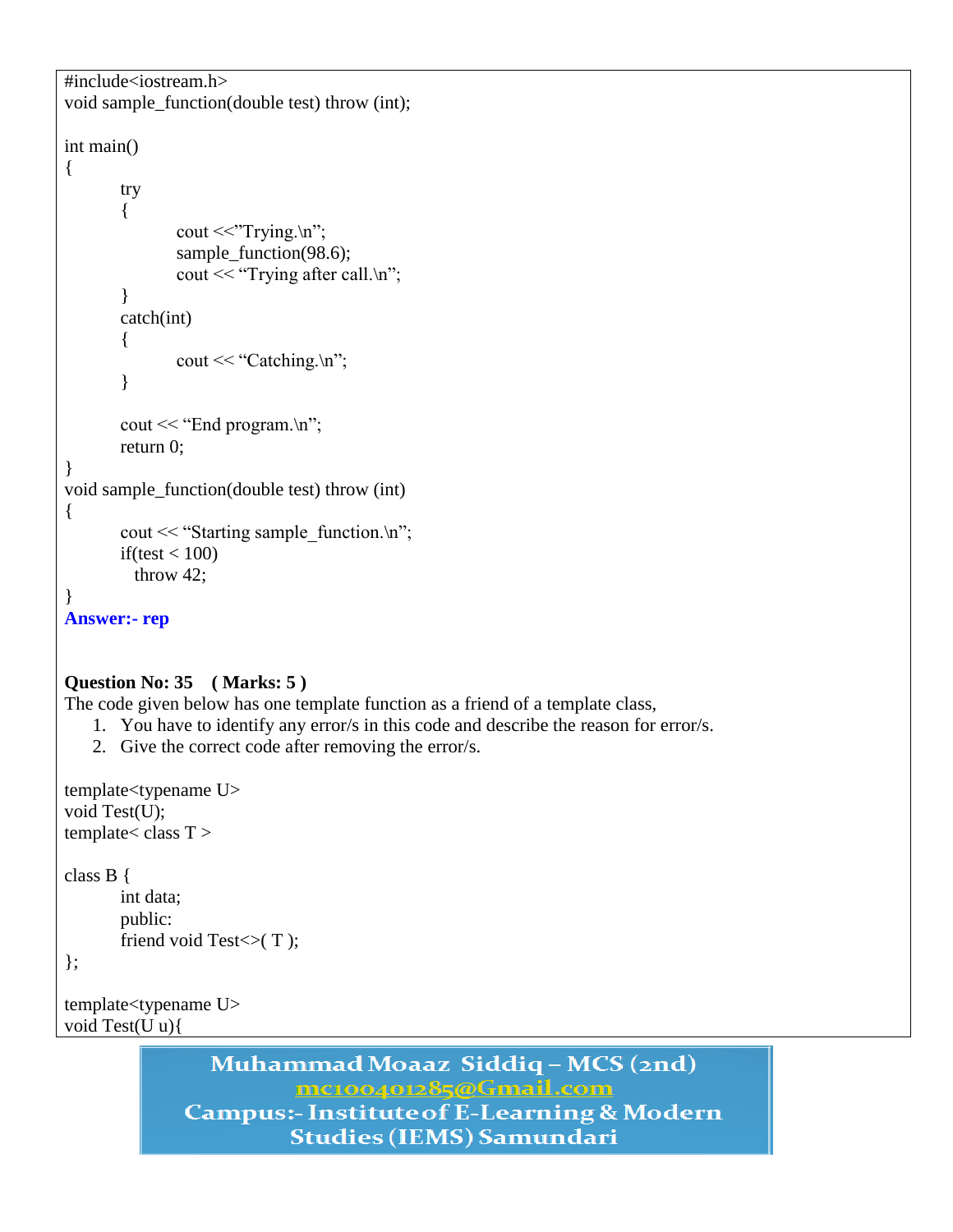```
#include<iostream.h>
void sample_function(double test) throw (int);
int main()
{
       try
       {
               cout \ll"Trying.\n";
               sample_function(98.6);
               cout << "Trying after call.\n";
       }
       catch(int)
       {
               cout << "Catching.\n";
       }
       cout << "End program.\ln";
       return 0;
}
void sample_function(double test) throw (int)
{
       cout << "Starting sample function.\n";
       if(test < 100)
          throw 42;
}
Answer:- rep
```
#### **Question No: 35 ( Marks: 5 )**

The code given below has one template function as a friend of a template class,

- 1. You have to identify any error/s in this code and describe the reason for error/s.
- 2. Give the correct code after removing the error/s.

```
template<typename U>
void Test(U);
template < class T >
```
class B {

```
int data;
public:
friend void Test\lt (T);
```
};

```
template<typename U>
void Test(U u){
```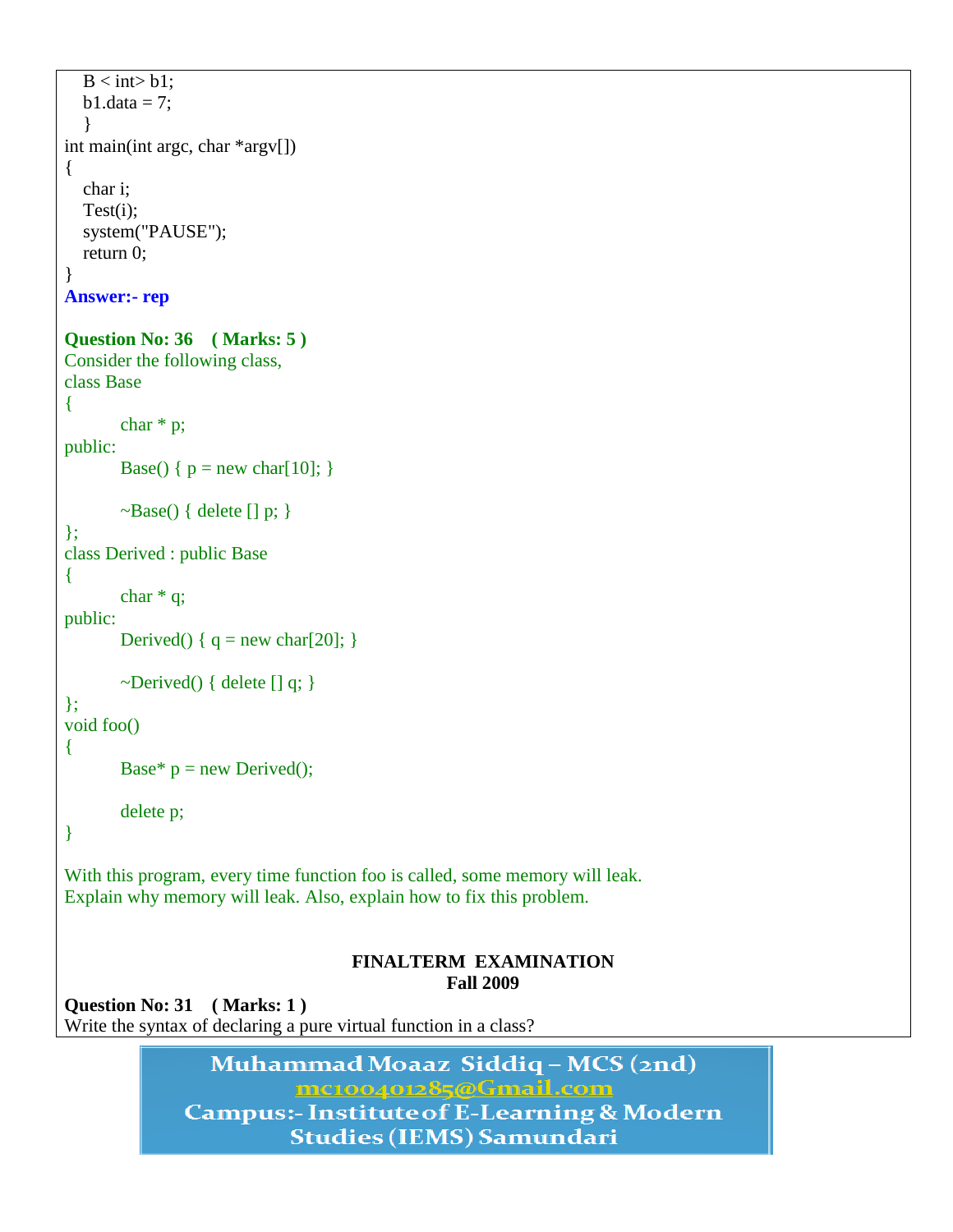```
B \lt int b1:
  b1.data = 7;
 }
int main(int argc, char *argv[])
{
   char i;
   Test(i);
   system("PAUSE");
   return 0;
}
Answer:- rep
Question No: 36 ( Marks: 5 ) 
Consider the following class,
class Base
{
        char * p;
public:
       Base() { p = new char[10]; }
       \simBase() { delete [] p; }
};
class Derived : public Base
{
       char * q;
public:
       Derived() {q = new char[20]; }
       \simDerived() { delete [] q; }
};
void foo()
{
       Base* p = new Derived;
        delete p;
}
With this program, every time function foo is called, some memory will leak. 
Explain why memory will leak. Also, explain how to fix this problem.
                                      FINALTERM EXAMINATION 
                                                   Fall 2009
```
**Question No: 31 ( Marks: 1 )**  Write the syntax of declaring a pure virtual function in a class?